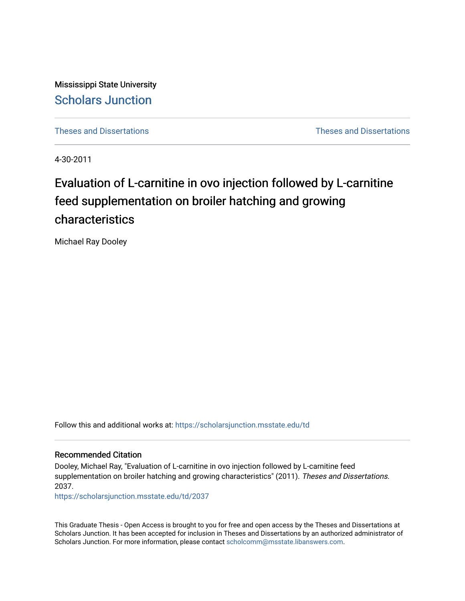Mississippi State University [Scholars Junction](https://scholarsjunction.msstate.edu/) 

[Theses and Dissertations](https://scholarsjunction.msstate.edu/td) [Theses and Dissertations](https://scholarsjunction.msstate.edu/theses-dissertations) 

4-30-2011

# Evaluation of L-carnitine in ovo injection followed by L-carnitine feed supplementation on broiler hatching and growing characteristics

Michael Ray Dooley

Follow this and additional works at: [https://scholarsjunction.msstate.edu/td](https://scholarsjunction.msstate.edu/td?utm_source=scholarsjunction.msstate.edu%2Ftd%2F2037&utm_medium=PDF&utm_campaign=PDFCoverPages) 

#### Recommended Citation

Dooley, Michael Ray, "Evaluation of L-carnitine in ovo injection followed by L-carnitine feed supplementation on broiler hatching and growing characteristics" (2011). Theses and Dissertations. 2037.

[https://scholarsjunction.msstate.edu/td/2037](https://scholarsjunction.msstate.edu/td/2037?utm_source=scholarsjunction.msstate.edu%2Ftd%2F2037&utm_medium=PDF&utm_campaign=PDFCoverPages) 

This Graduate Thesis - Open Access is brought to you for free and open access by the Theses and Dissertations at Scholars Junction. It has been accepted for inclusion in Theses and Dissertations by an authorized administrator of Scholars Junction. For more information, please contact [scholcomm@msstate.libanswers.com.](mailto:scholcomm@msstate.libanswers.com)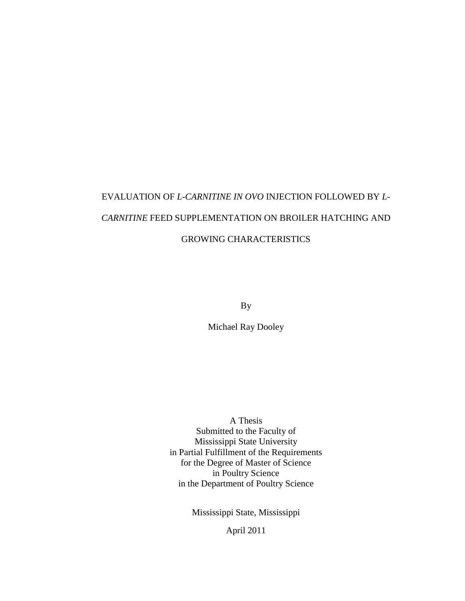# EVALUATION OF *L-CARNITINE IN OVO* INJECTION FOLLOWED BY *L-CARNITINE* FEED SUPPLEMENTATION ON BROILER HATCHING AND GROWING CHARACTERISTICS

By

Michael Ray Dooley

A Thesis Submitted to the Faculty of Mississippi State University in Partial Fulfillment of the Requirements for the Degree of Master of Science in Poultry Science in the Department of Poultry Science

Mississippi State, Mississippi

April 2011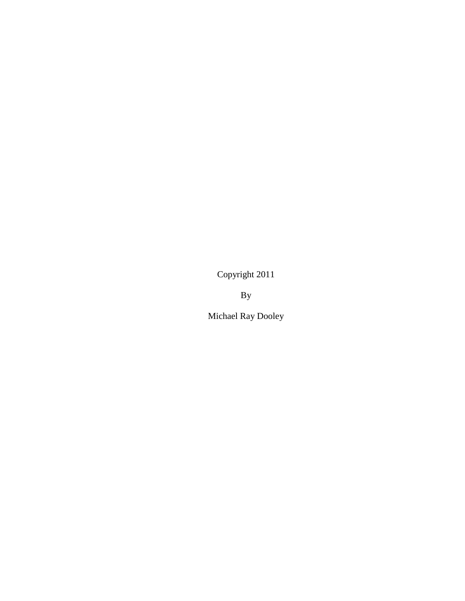Copyright 2011

By

Michael Ray Dooley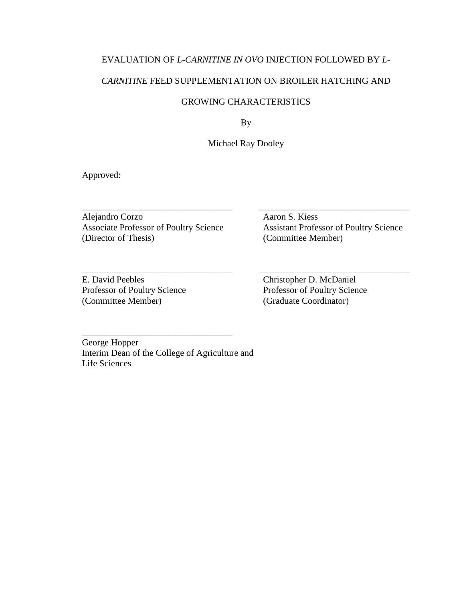# EVALUATION OF *L-CARNITINE IN OVO* INJECTION FOLLOWED BY *L-*

# *CARNITINE* FEED SUPPLEMENTATION ON BROILER HATCHING AND

# GROWING CHARACTERISTICS

By

Michael Ray Dooley

\_\_\_\_\_\_\_\_\_\_\_\_\_\_\_\_\_\_\_\_\_\_\_\_\_\_\_\_\_\_\_\_\_ \_\_\_\_\_\_\_\_\_\_\_\_\_\_\_\_\_\_\_\_\_\_\_\_\_\_\_\_\_\_\_\_\_

\_\_\_\_\_\_\_\_\_\_\_\_\_\_\_\_\_\_\_\_\_\_\_\_\_\_\_\_\_\_\_\_\_ \_\_\_\_\_\_\_\_\_\_\_\_\_\_\_\_\_\_\_\_\_\_\_\_\_\_\_\_\_\_\_\_\_

Approved:

Alejandro Corzo Aaron S. Kiess Associate Professor of Poultry Science Assistant Professor of Poultry Science (Director of Thesis) (Committee Member)

E. David Peebles<br>
Professor of Poultry Science<br>
Professor of Poultry Science<br>
Professor of Poultry Science Professor of Poultry Science<br>
(Committee Member) (Graduate Coordinator) (Committee Member)

George Hopper Interim Dean of the College of Agriculture and Life Sciences

\_\_\_\_\_\_\_\_\_\_\_\_\_\_\_\_\_\_\_\_\_\_\_\_\_\_\_\_\_\_\_\_\_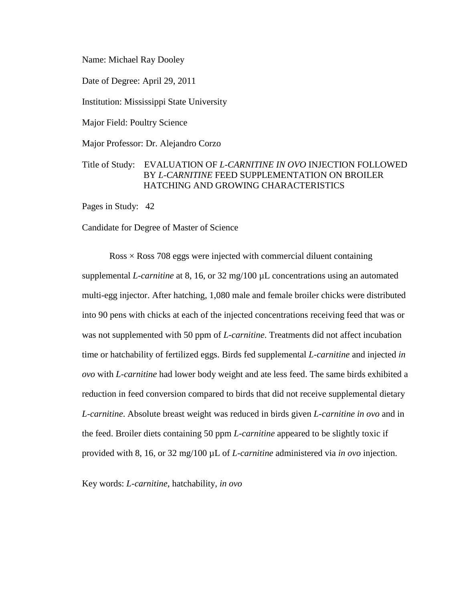Name: Michael Ray Dooley

Date of Degree: April 29, 2011

Institution: Mississippi State University

Major Field: Poultry Science

Major Professor: Dr. Alejandro Corzo

# Title of Study: EVALUATION OF *L-CARNITINE IN OVO* INJECTION FOLLOWED BY *L-CARNITINE* FEED SUPPLEMENTATION ON BROILER HATCHING AND GROWING CHARACTERISTICS

Pages in Study: 42

Candidate for Degree of Master of Science

 $Ross \times Ross$  708 eggs were injected with commercial diluent containing supplemental *L-carnitine* at 8, 16, or 32 mg/100 µL concentrations using an automated multi-egg injector. After hatching, 1,080 male and female broiler chicks were distributed into 90 pens with chicks at each of the injected concentrations receiving feed that was or was not supplemented with 50 ppm of *L-carnitine*. Treatments did not affect incubation time or hatchability of fertilized eggs. Birds fed supplemental *L-carnitine* and injected *in ovo* with *L-carnitine* had lower body weight and ate less feed. The same birds exhibited a reduction in feed conversion compared to birds that did not receive supplemental dietary *L-carnitine*. Absolute breast weight was reduced in birds given *L-carnitine in ovo* and in the feed. Broiler diets containing 50 ppm *L-carnitine* appeared to be slightly toxic if provided with 8, 16, or 32 mg/100 µL of *L-carnitine* administered via *in ovo* injection.

Key words: *L-carnitine*, hatchability, *in ovo*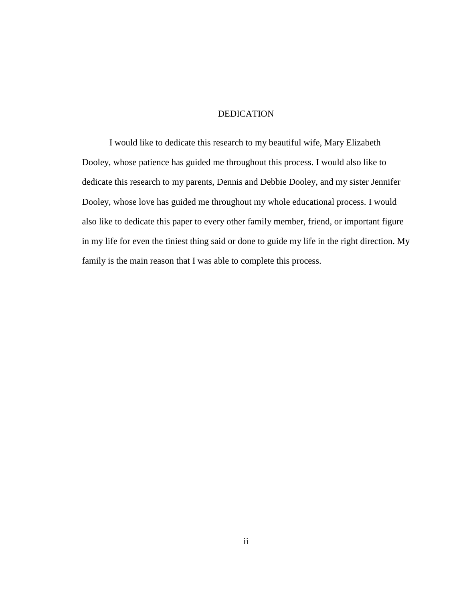#### DEDICATION

<span id="page-5-0"></span>I would like to dedicate this research to my beautiful wife, Mary Elizabeth Dooley, whose patience has guided me throughout this process. I would also like to dedicate this research to my parents, Dennis and Debbie Dooley, and my sister Jennifer Dooley, whose love has guided me throughout my whole educational process. I would also like to dedicate this paper to every other family member, friend, or important figure in my life for even the tiniest thing said or done to guide my life in the right direction. My family is the main reason that I was able to complete this process.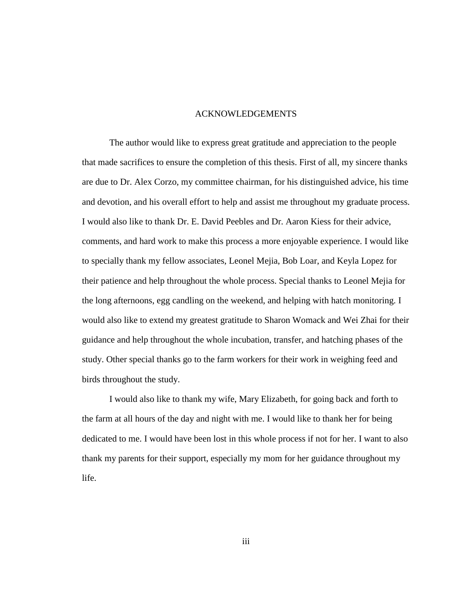#### ACKNOWLEDGEMENTS

<span id="page-6-0"></span>The author would like to express great gratitude and appreciation to the people that made sacrifices to ensure the completion of this thesis. First of all, my sincere thanks are due to Dr. Alex Corzo, my committee chairman, for his distinguished advice, his time and devotion, and his overall effort to help and assist me throughout my graduate process. I would also like to thank Dr. E. David Peebles and Dr. Aaron Kiess for their advice, comments, and hard work to make this process a more enjoyable experience. I would like to specially thank my fellow associates, Leonel Mejia, Bob Loar, and Keyla Lopez for their patience and help throughout the whole process. Special thanks to Leonel Mejia for the long afternoons, egg candling on the weekend, and helping with hatch monitoring. I would also like to extend my greatest gratitude to Sharon Womack and Wei Zhai for their guidance and help throughout the whole incubation, transfer, and hatching phases of the study. Other special thanks go to the farm workers for their work in weighing feed and birds throughout the study.

I would also like to thank my wife, Mary Elizabeth, for going back and forth to the farm at all hours of the day and night with me. I would like to thank her for being dedicated to me. I would have been lost in this whole process if not for her. I want to also thank my parents for their support, especially my mom for her guidance throughout my life.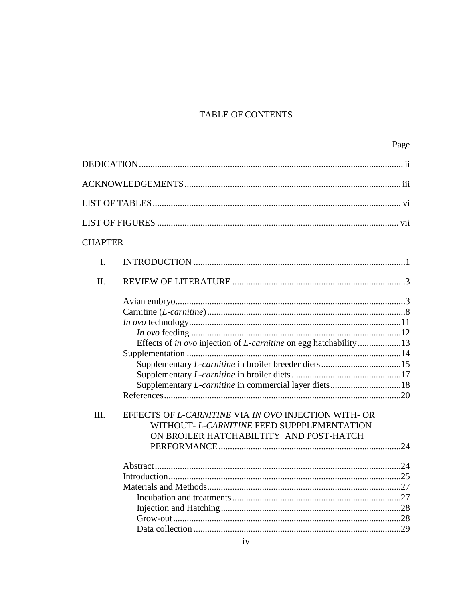# TABLE OF CONTENTS

| <b>CHAPTER</b> |                                                                                                                                                                                                                                                                                          |  |
|----------------|------------------------------------------------------------------------------------------------------------------------------------------------------------------------------------------------------------------------------------------------------------------------------------------|--|
| I.             |                                                                                                                                                                                                                                                                                          |  |
| II.            |                                                                                                                                                                                                                                                                                          |  |
| III.           | Effects of in ovo injection of <i>L-carnitine</i> on egg hatchability13<br>Supplementary <i>L-carnitine</i> in commercial layer diets18<br>EFFECTS OF L-CARNITINE VIA IN OVO INJECTION WITH- OR<br>WITHOUT- L-CARNITINE FEED SUPPPLEMENTATION<br>ON BROILER HATCHABILTITY AND POST-HATCH |  |
|                |                                                                                                                                                                                                                                                                                          |  |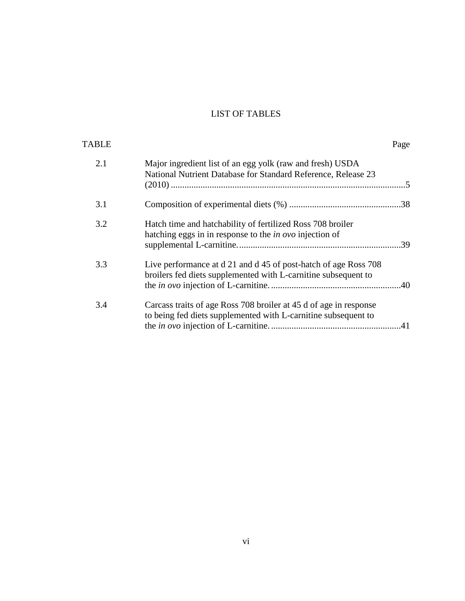# LIST OF TABLES

<span id="page-9-0"></span>

| TABLE |                                                                                                                                     | Page |
|-------|-------------------------------------------------------------------------------------------------------------------------------------|------|
| 2.1   | Major ingredient list of an egg yolk (raw and fresh) USDA<br>National Nutrient Database for Standard Reference, Release 23          |      |
| 3.1   |                                                                                                                                     |      |
| 3.2   | Hatch time and hatchability of fertilized Ross 708 broiler<br>hatching eggs in in response to the <i>in ovo</i> injection of        |      |
| 3.3   | Live performance at d 21 and d 45 of post-hatch of age Ross 708<br>broilers fed diets supplemented with L-carnitine subsequent to   |      |
| 3.4   | Carcass traits of age Ross 708 broiler at 45 d of age in response<br>to being fed diets supplemented with L-carnitine subsequent to |      |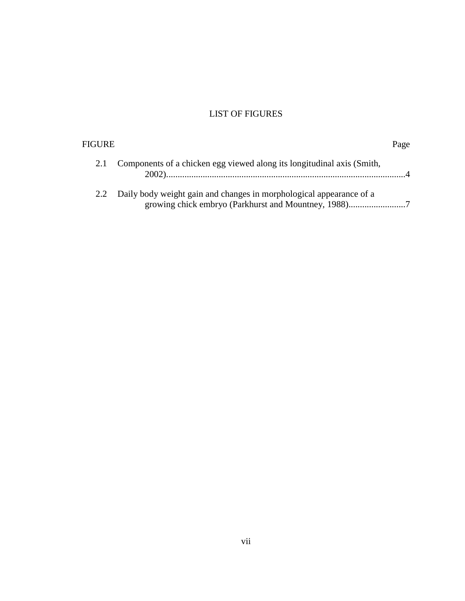# LIST OF FIGURES

<span id="page-10-0"></span>

| FIGURE |                                                                        | Page |
|--------|------------------------------------------------------------------------|------|
|        | Components of a chicken egg viewed along its longitudinal axis (Smith, |      |
| 2.2    | Daily body weight gain and changes in morphological appearance of a    |      |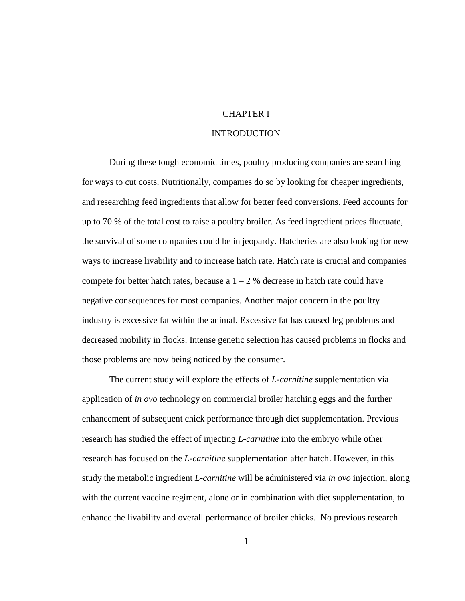# CHAPTER I

# INTRODUCTION

<span id="page-11-0"></span>During these tough economic times, poultry producing companies are searching for ways to cut costs. Nutritionally, companies do so by looking for cheaper ingredients, and researching feed ingredients that allow for better feed conversions. Feed accounts for up to 70 % of the total cost to raise a poultry broiler. As feed ingredient prices fluctuate, the survival of some companies could be in jeopardy. Hatcheries are also looking for new ways to increase livability and to increase hatch rate. Hatch rate is crucial and companies compete for better hatch rates, because a  $1 - 2$  % decrease in hatch rate could have negative consequences for most companies. Another major concern in the poultry industry is excessive fat within the animal. Excessive fat has caused leg problems and decreased mobility in flocks. Intense genetic selection has caused problems in flocks and those problems are now being noticed by the consumer.

The current study will explore the effects of *L-carnitine* supplementation via application of *in ovo* technology on commercial broiler hatching eggs and the further enhancement of subsequent chick performance through diet supplementation. Previous research has studied the effect of injecting *L-carnitine* into the embryo while other research has focused on the *L-carnitine* supplementation after hatch. However, in this study the metabolic ingredient *L-carnitine* will be administered via *in ovo* injection, along with the current vaccine regiment, alone or in combination with diet supplementation, to enhance the livability and overall performance of broiler chicks. No previous research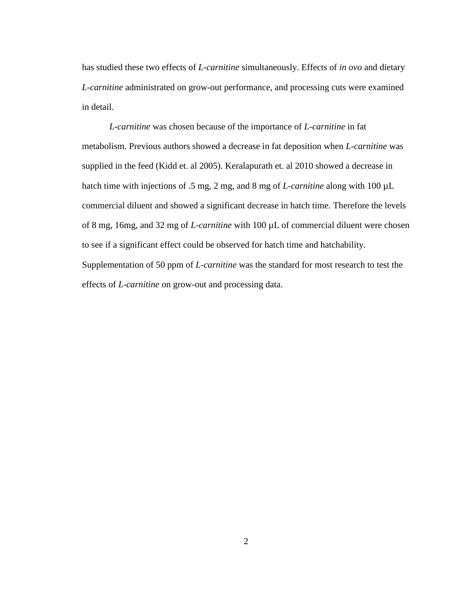has studied these two effects of *L-carnitine* simultaneously. Effects of *in ovo* and dietary *L-carnitine* administrated on grow-out performance, and processing cuts were examined in detail.

*L-carnitine* was chosen because of the importance of *L-carnitine* in fat metabolism. Previous authors showed a decrease in fat deposition when *L-carnitine* was supplied in the feed (Kidd et. al 2005). Keralapurath et. al 2010 showed a decrease in hatch time with injections of .5 mg, 2 mg, and 8 mg of *L-carnitine* along with 100 µL commercial diluent and showed a significant decrease in hatch time. Therefore the levels of 8 mg, 16mg, and 32 mg of *L-carnitine* with 100 µL of commercial diluent were chosen to see if a significant effect could be observed for hatch time and hatchability. Supplementation of 50 ppm of *L-carnitine* was the standard for most research to test the effects of *L-carnitine* on grow-out and processing data.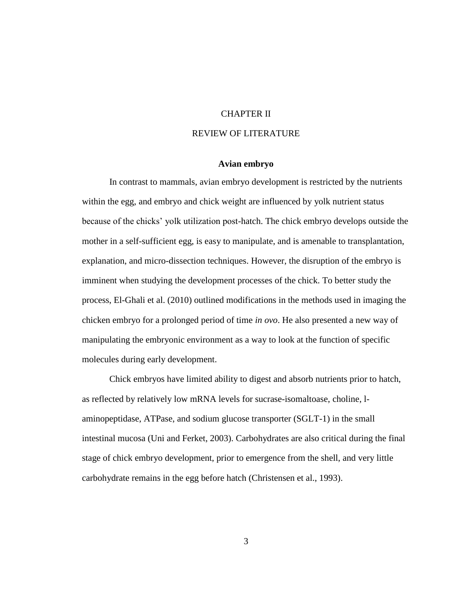# CHAPTER II

## REVIEW OF LITERATURE

#### **Avian embryo**

<span id="page-13-1"></span><span id="page-13-0"></span>In contrast to mammals, avian embryo development is restricted by the nutrients within the egg, and embryo and chick weight are influenced by yolk nutrient status because of the chicks' yolk utilization post-hatch. The chick embryo develops outside the mother in a self-sufficient egg, is easy to manipulate, and is amenable to transplantation, explanation, and micro-dissection techniques. However, the disruption of the embryo is imminent when studying the development processes of the chick. To better study the process, El-Ghali et al. (2010) outlined modifications in the methods used in imaging the chicken embryo for a prolonged period of time *in ovo*. He also presented a new way of manipulating the embryonic environment as a way to look at the function of specific molecules during early development.

Chick embryos have limited ability to digest and absorb nutrients prior to hatch, as reflected by relatively low mRNA levels for sucrase-isomaltoase, choline, laminopeptidase, ATPase, and sodium glucose transporter (SGLT-1) in the small intestinal mucosa (Uni and Ferket, 2003). Carbohydrates are also critical during the final stage of chick embryo development, prior to emergence from the shell, and very little carbohydrate remains in the egg before hatch (Christensen et al., 1993).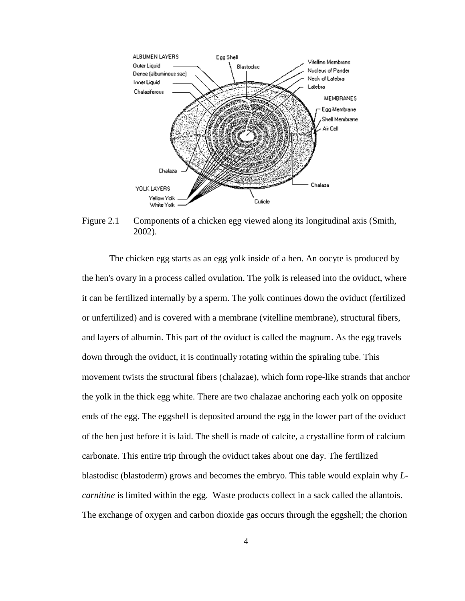

<span id="page-14-0"></span>Figure 2.1 Components of a chicken egg viewed along its longitudinal axis (Smith, 2002).

The chicken egg starts as an egg yolk inside of a hen. An oocyte is produced by the hen's ovary in a process called ovulation. The yolk is released into the oviduct, where it can be fertilized internally by a sperm. The yolk continues down the oviduct (fertilized or unfertilized) and is covered with a membrane (vitelline membrane), structural fibers, and layers of albumin. This part of the oviduct is called the magnum. As the egg travels down through the oviduct, it is continually rotating within the spiraling tube. This movement twists the structural fibers (chalazae), which form rope-like strands that anchor the yolk in the thick egg white. There are two chalazae anchoring each yolk on opposite ends of the egg. The eggshell is deposited around the egg in the lower part of the oviduct of the hen just before it is laid. The shell is made of calcite, a crystalline form of calcium carbonate. This entire trip through the oviduct takes about one day. The fertilized blastodisc (blastoderm) grows and becomes the embryo. This table would explain why *Lcarnitine* is limited within the egg. Waste products collect in a sack called the allantois. The exchange of oxygen and carbon dioxide gas occurs through the eggshell; the chorion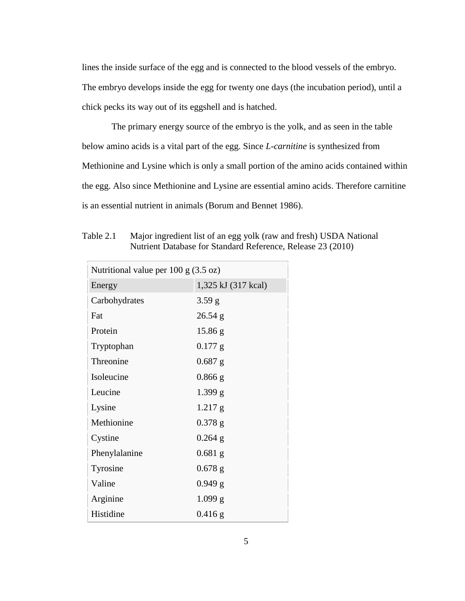lines the inside surface of the egg and is connected to the blood vessels of the embryo. The embryo develops inside the egg for twenty one days (the incubation period), until a chick pecks its way out of its eggshell and is hatched.

The primary energy source of the embryo is the yolk, and as seen in the table below amino acids is a vital part of the egg. Since *L-carnitine* is synthesized from Methionine and Lysine which is only a small portion of the amino acids contained within the egg. Also since Methionine and Lysine are essential amino acids. Therefore carnitine is an essential nutrient in animals (Borum and Bennet 1986).

| Nutritional value per $100 \text{ g}$ (3.5 oz)       |                     |  |  |  |  |
|------------------------------------------------------|---------------------|--|--|--|--|
| Energy                                               | 1,325 kJ (317 kcal) |  |  |  |  |
| Carbohydrates                                        | 3.59 g              |  |  |  |  |
| Fat                                                  | $26.54$ g           |  |  |  |  |
| Protein                                              | 15.86 g             |  |  |  |  |
| Tryptophan                                           | $0.177$ g           |  |  |  |  |
| Threonine                                            | $0.687$ g           |  |  |  |  |
| Isoleucine                                           | $0.866$ g           |  |  |  |  |
| Leucine                                              | 1.399 g             |  |  |  |  |
| Lysine                                               | $1.217$ g           |  |  |  |  |
| Methionine                                           | $0.378$ g           |  |  |  |  |
| Cystine                                              | $0.264$ g           |  |  |  |  |
| Phenylalanine<br>$0.681$ g<br>$0.678$ g<br>$0.949$ g |                     |  |  |  |  |
| Tyrosine                                             |                     |  |  |  |  |
| Valine                                               |                     |  |  |  |  |
| Arginine                                             | 1.099 g             |  |  |  |  |
| Histidine                                            | $0.416$ g           |  |  |  |  |

<span id="page-15-0"></span>Table 2.1 Major ingredient list of an egg yolk (raw and fresh) USDA National Nutrient Database for Standard Reference, Release 23 (2010)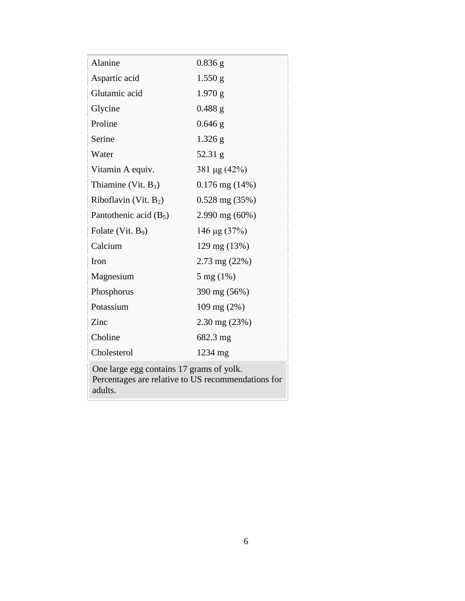| Alanine                  | $0.836$ g                |
|--------------------------|--------------------------|
| Aspartic acid            | $1.550$ g                |
| Glutamic acid            | 1.970 g                  |
| Glycine                  | $0.488$ g                |
| Proline                  | $0.646$ g                |
| Serine                   | $1.326$ g                |
| Water                    | $52.31$ g                |
| Vitamin A equiv.         | 381 μg (42%)             |
| Thiamine (Vit. $B_1$ )   | $0.176$ mg $(14%)$       |
| Riboflavin (Vit. $B_2$ ) | $0.528$ mg $(35%)$       |
| Pantothenic acid $(B_5)$ | 2.990 mg (60%)           |
| Folate (Vit. $B_9$ )     | 146 µg $(37%)$           |
| Calcium                  | 129 mg (13%)             |
| Iron                     | $2.73 \text{ mg} (22\%)$ |
| Magnesium                | $5 \text{ mg} (1\%)$     |
| Phosphorus               | 390 mg (56%)             |
| Potassium                | 109 mg (2%)              |
| Zinc                     | $2.30 \text{ mg} (23\%)$ |
| Choline                  | 682.3 mg                 |
| Cholesterol              | 1234 mg                  |
|                          |                          |

One large egg contains 17 grams of yolk. Percentages are relative to US [recommendations](http://en.wikipedia.org/wiki/Reference_Daily_Intake) for adults.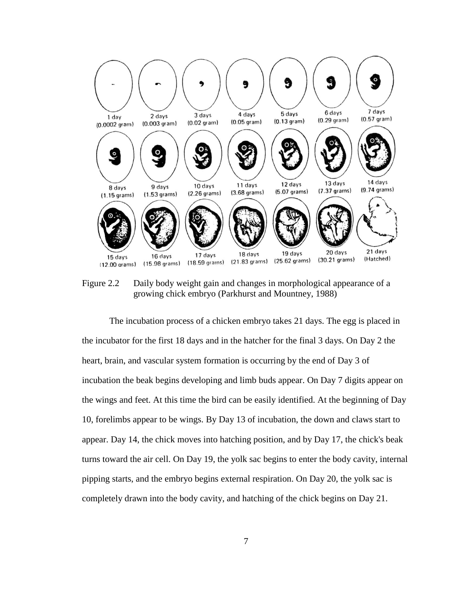

<span id="page-17-0"></span>Figure 2.2 Daily body weight gain and changes in morphological appearance of a growing chick embryo (Parkhurst and Mountney, 1988)

The incubation process of a chicken embryo takes 21 days. The egg is placed in the incubator for the first 18 days and in the hatcher for the final 3 days. On Day 2 the heart, brain, and vascular system formation is occurring by the end of Day 3 of incubation the beak begins developing and limb buds appear. On Day 7 digits appear on the wings and feet. At this time the bird can be easily identified. At the beginning of Day 10, forelimbs appear to be wings. By Day 13 of incubation, the down and claws start to appear. Day 14, the chick moves into hatching position, and by Day 17, the chick's beak turns toward the air cell. On Day 19, the yolk sac begins to enter the body cavity, internal pipping starts, and the embryo begins external respiration. On Day 20, the yolk sac is completely drawn into the body cavity, and hatching of the chick begins on Day 21.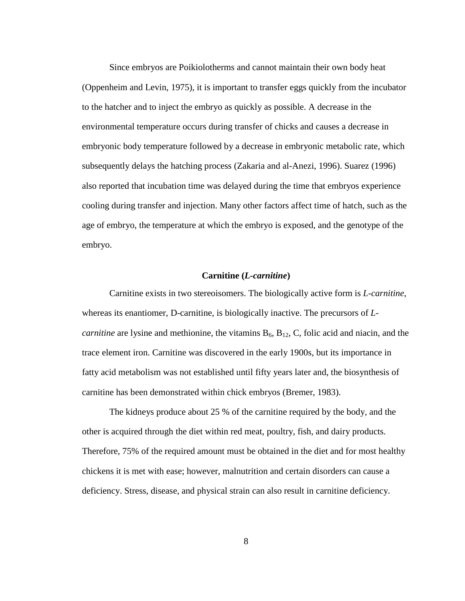Since embryos are Poikiolotherms and cannot maintain their own body heat (Oppenheim and Levin, 1975), it is important to transfer eggs quickly from the incubator to the hatcher and to inject the embryo as quickly as possible. A decrease in the environmental temperature occurs during transfer of chicks and causes a decrease in embryonic body temperature followed by a decrease in embryonic metabolic rate, which subsequently delays the hatching process (Zakaria and al-Anezi, 1996). Suarez (1996) also reported that incubation time was delayed during the time that embryos experience cooling during transfer and injection. Many other factors affect time of hatch, such as the age of embryo, the temperature at which the embryo is exposed, and the genotype of the embryo.

## **Carnitine (***L-carnitine***)**

<span id="page-18-0"></span>Carnitine exists in two stereoisomers. The biologically active form is *L-carnitine*, whereas its enantiomer, D-carnitine, is biologically inactive. The precursors of *Lcarnitine* are lysine and methionine, the vitamins  $B_6$ ,  $B_{12}$ , C, folic acid and niacin, and the trace element iron. Carnitine was discovered in the early 1900s, but its importance in fatty acid metabolism was not established until fifty years later and, the biosynthesis of carnitine has been demonstrated within chick embryos (Bremer, 1983).

The kidneys produce about 25 % of the carnitine required by the body, and the other is acquired through the diet within red meat, poultry, fish, and dairy products. Therefore, 75% of the required amount must be obtained in the diet and for most healthy chickens it is met with ease; however, malnutrition and certain disorders can cause a deficiency. Stress, disease, and physical strain can also result in carnitine deficiency.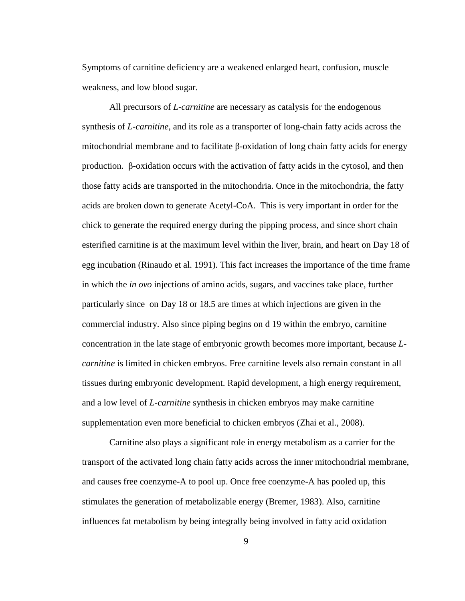Symptoms of carnitine deficiency are a weakened enlarged heart, confusion, muscle weakness, and low blood sugar.

All precursors of *L-carnitine* are necessary as catalysis for the endogenous synthesis of *L-carnitine*, and its role as a transporter of long-chain fatty acids across the mitochondrial membrane and to facilitate β-oxidation of long chain fatty acids for energy production. β-oxidation occurs with the activation of fatty acids in the cytosol, and then those fatty acids are transported in the mitochondria. Once in the mitochondria, the fatty acids are broken down to generate Acetyl-CoA. This is very important in order for the chick to generate the required energy during the pipping process, and since short chain esterified carnitine is at the maximum level within the liver, brain, and heart on Day 18 of egg incubation (Rinaudo et al. 1991). This fact increases the importance of the time frame in which the *in ovo* injections of amino acids, sugars, and vaccines take place, further particularly since on Day 18 or 18.5 are times at which injections are given in the commercial industry. Also since piping begins on d 19 within the embryo, carnitine concentration in the late stage of embryonic growth becomes more important, because *Lcarnitine* is limited in chicken embryos. Free carnitine levels also remain constant in all tissues during embryonic development. Rapid development, a high energy requirement, and a low level of *L-carnitine* synthesis in chicken embryos may make carnitine supplementation even more beneficial to chicken embryos (Zhai et al., 2008).

Carnitine also plays a significant role in energy metabolism as a carrier for the transport of the activated long chain fatty acids across the inner mitochondrial membrane, and causes free coenzyme-A to pool up. Once free coenzyme-A has pooled up, this stimulates the generation of metabolizable energy (Bremer, 1983). Also, carnitine influences fat metabolism by being integrally being involved in fatty acid oxidation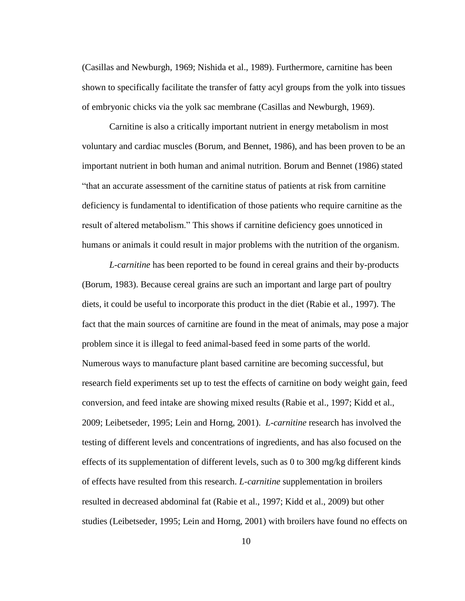(Casillas and Newburgh, 1969; Nishida et al., 1989). Furthermore, carnitine has been shown to specifically facilitate the transfer of fatty acyl groups from the yolk into tissues of embryonic chicks via the yolk sac membrane (Casillas and Newburgh, 1969).

Carnitine is also a critically important nutrient in energy metabolism in most voluntary and cardiac muscles (Borum, and Bennet, 1986), and has been proven to be an important nutrient in both human and animal nutrition. Borum and Bennet (1986) stated "that an accurate assessment of the carnitine status of patients at risk from carnitine deficiency is fundamental to identification of those patients who require carnitine as the result of altered metabolism." This shows if carnitine deficiency goes unnoticed in humans or animals it could result in major problems with the nutrition of the organism.

*L-carnitine* has been reported to be found in cereal grains and their by-products (Borum, 1983). Because cereal grains are such an important and large part of poultry diets, it could be useful to incorporate this product in the diet (Rabie et al., 1997). The fact that the main sources of carnitine are found in the meat of animals, may pose a major problem since it is illegal to feed animal-based feed in some parts of the world. Numerous ways to manufacture plant based carnitine are becoming successful, but research field experiments set up to test the effects of carnitine on body weight gain, feed conversion, and feed intake are showing mixed results (Rabie et al., 1997; Kidd et al., 2009; Leibetseder, 1995; Lein and Horng, 2001). *L-carnitine* research has involved the testing of different levels and concentrations of ingredients, and has also focused on the effects of its supplementation of different levels, such as 0 to 300 mg/kg different kinds of effects have resulted from this research. *L-carnitine* supplementation in broilers resulted in decreased abdominal fat (Rabie et al., 1997; Kidd et al., 2009) but other studies (Leibetseder, 1995; Lein and Horng, 2001) with broilers have found no effects on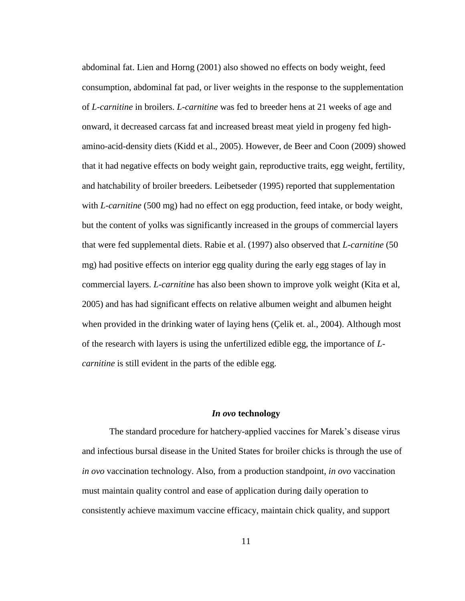abdominal fat. Lien and Horng (2001) also showed no effects on body weight, feed consumption, abdominal fat pad, or liver weights in the response to the supplementation of *L-carnitine* in broilers. *L-carnitine* was fed to breeder hens at 21 weeks of age and onward, it decreased carcass fat and increased breast meat yield in progeny fed highamino-acid-density diets (Kidd et al., 2005). However, de Beer and Coon (2009) showed that it had negative effects on body weight gain, reproductive traits, egg weight, fertility, and hatchability of broiler breeders. Leibetseder (1995) reported that supplementation with *L-carnitine* (500 mg) had no effect on egg production, feed intake, or body weight, but the content of yolks was significantly increased in the groups of commercial layers that were fed supplemental diets. Rabie et al. (1997) also observed that *L-carnitine* (50 mg) had positive effects on interior egg quality during the early egg stages of lay in commercial layers. *L-carnitine* has also been shown to improve yolk weight (Kita et al, 2005) and has had significant effects on relative albumen weight and albumen height when provided in the drinking water of laying hens (Çelik et. al., 2004). Although most of the research with layers is using the unfertilized edible egg, the importance of *Lcarnitine* is still evident in the parts of the edible egg.

#### *In ovo* **technology**

<span id="page-21-0"></span>The standard procedure for hatchery-applied vaccines for Marek's disease virus and infectious bursal disease in the United States for broiler chicks is through the use of *in ovo* vaccination technology. Also, from a production standpoint, *in ovo* vaccination must maintain quality control and ease of application during daily operation to consistently achieve maximum vaccine efficacy, maintain chick quality, and support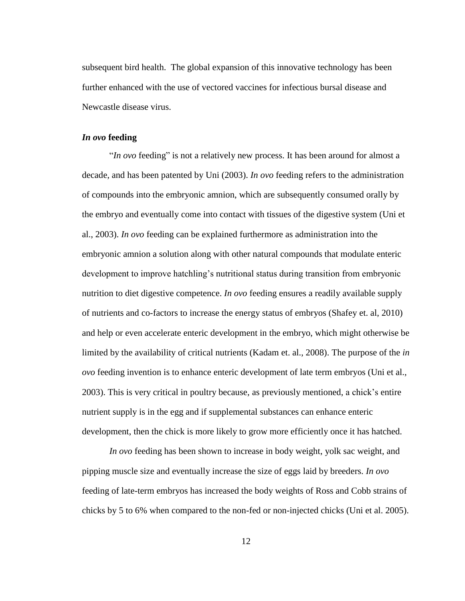subsequent bird health. The global expansion of this innovative technology has been further enhanced with the use of vectored vaccines for infectious bursal disease and Newcastle disease virus.

#### <span id="page-22-0"></span>*In ovo* **feeding**

"*In ovo* feeding" is not a relatively new process. It has been around for almost a decade, and has been patented by Uni (2003). *In ovo* feeding refers to the administration of compounds into the embryonic amnion, which are subsequently consumed orally by the embryo and eventually come into contact with tissues of the digestive system (Uni et al., 2003). *In ovo* feeding can be explained furthermore as administration into the embryonic amnion a solution along with other natural compounds that modulate enteric development to improve hatchling's nutritional status during transition from embryonic nutrition to diet digestive competence. *In ovo* feeding ensures a readily available supply of nutrients and co-factors to increase the energy status of embryos (Shafey et. al, 2010) and help or even accelerate enteric development in the embryo, which might otherwise be limited by the availability of critical nutrients (Kadam et. al., 2008). The purpose of the *in ovo* feeding invention is to enhance enteric development of late term embryos (Uni et al., 2003). This is very critical in poultry because, as previously mentioned, a chick's entire nutrient supply is in the egg and if supplemental substances can enhance enteric development, then the chick is more likely to grow more efficiently once it has hatched.

*In ovo* feeding has been shown to increase in body weight, yolk sac weight, and pipping muscle size and eventually increase the size of eggs laid by breeders. *In ovo* feeding of late-term embryos has increased the body weights of Ross and Cobb strains of chicks by 5 to 6% when compared to the non-fed or non-injected chicks (Uni et al. 2005).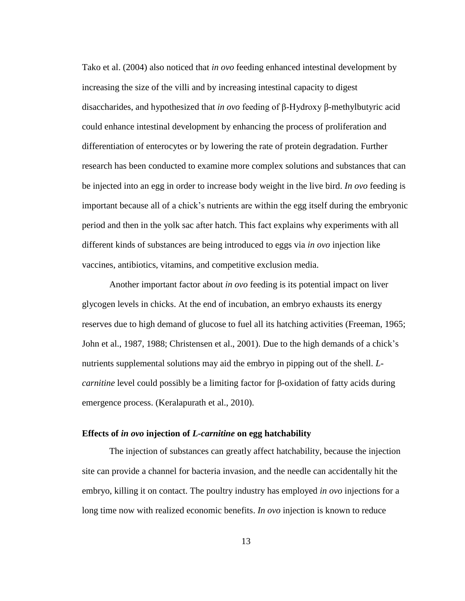Tako et al. (2004) also noticed that *in ovo* feeding enhanced intestinal development by increasing the size of the villi and by increasing intestinal capacity to digest disaccharides, and hypothesized that *in ovo* feeding of β-Hydroxy β-methylbutyric acid could enhance intestinal development by enhancing the process of proliferation and differentiation of enterocytes or by lowering the rate of protein degradation. Further research has been conducted to examine more complex solutions and substances that can be injected into an egg in order to increase body weight in the live bird. *In ovo* feeding is important because all of a chick's nutrients are within the egg itself during the embryonic period and then in the yolk sac after hatch. This fact explains why experiments with all different kinds of substances are being introduced to eggs via *in ovo* injection like vaccines, antibiotics, vitamins, and competitive exclusion media.

Another important factor about *in ovo* feeding is its potential impact on liver glycogen levels in chicks. At the end of incubation, an embryo exhausts its energy reserves due to high demand of glucose to fuel all its hatching activities (Freeman, 1965; John et al., 1987, 1988; Christensen et al., 2001). Due to the high demands of a chick's nutrients supplemental solutions may aid the embryo in pipping out of the shell. *Lcarnitine* level could possibly be a limiting factor for β-oxidation of fatty acids during emergence process. (Keralapurath et al., 2010).

## <span id="page-23-0"></span>**Effects of** *in ovo* **injection of** *L-carnitine* **on egg hatchability**

The injection of substances can greatly affect hatchability, because the injection site can provide a channel for bacteria invasion, and the needle can accidentally hit the embryo, killing it on contact. The poultry industry has employed *in ovo* injections for a long time now with realized economic benefits. *In ovo* injection is known to reduce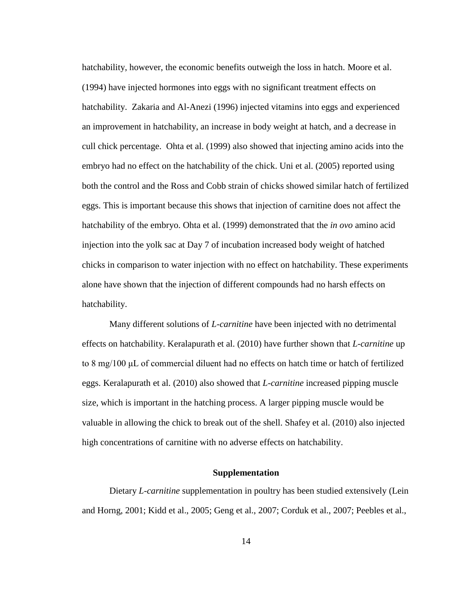hatchability, however, the economic benefits outweigh the loss in hatch. Moore et al. (1994) have injected hormones into eggs with no significant treatment effects on hatchability. Zakaria and Al-Anezi (1996) injected vitamins into eggs and experienced an improvement in hatchability, an increase in body weight at hatch, and a decrease in cull chick percentage. Ohta et al. (1999) also showed that injecting amino acids into the embryo had no effect on the hatchability of the chick. Uni et al. (2005) reported using both the control and the Ross and Cobb strain of chicks showed similar hatch of fertilized eggs. This is important because this shows that injection of carnitine does not affect the hatchability of the embryo. Ohta et al. (1999) demonstrated that the *in ovo* amino acid injection into the yolk sac at Day 7 of incubation increased body weight of hatched chicks in comparison to water injection with no effect on hatchability. These experiments alone have shown that the injection of different compounds had no harsh effects on hatchability.

Many different solutions of *L-carnitine* have been injected with no detrimental effects on hatchability. Keralapurath et al. (2010) have further shown that *L-carnitine* up to 8 mg/100 μL of commercial diluent had no effects on hatch time or hatch of fertilized eggs. Keralapurath et al. (2010) also showed that *L-carnitine* increased pipping muscle size, which is important in the hatching process. A larger pipping muscle would be valuable in allowing the chick to break out of the shell. Shafey et al. (2010) also injected high concentrations of carnitine with no adverse effects on hatchability.

#### **Supplementation**

<span id="page-24-0"></span>Dietary *L-carnitine* supplementation in poultry has been studied extensively (Lein and Horng, 2001; Kidd et al., 2005; Geng et al., 2007; Corduk et al., 2007; Peebles et al.,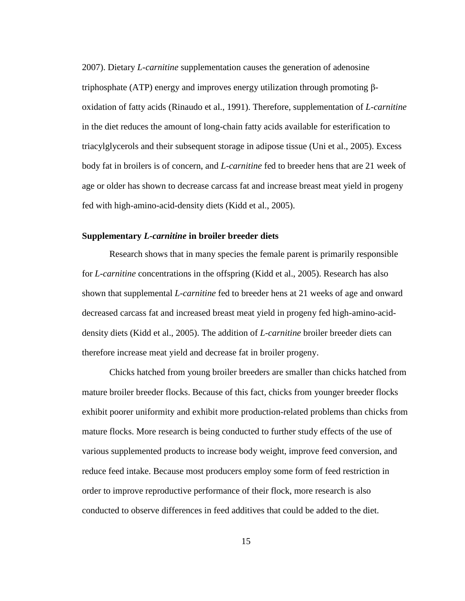2007). Dietary *L-carnitine* supplementation causes the generation of adenosine triphosphate (ATP) energy and improves energy utilization through promoting βoxidation of fatty acids (Rinaudo et al., 1991). Therefore, supplementation of *L-carnitine* in the diet reduces the amount of long-chain fatty acids available for esterification to triacylglycerols and their subsequent storage in adipose tissue (Uni et al., 2005). Excess body fat in broilers is of concern, and *L-carnitine* fed to breeder hens that are 21 week of age or older has shown to decrease carcass fat and increase breast meat yield in progeny fed with high-amino-acid-density diets (Kidd et al., 2005).

#### <span id="page-25-0"></span>**Supplementary** *L-carnitine* **in broiler breeder diets**

Research shows that in many species the female parent is primarily responsible for *L-carnitine* concentrations in the offspring (Kidd et al., 2005). Research has also shown that supplemental *L-carnitine* fed to breeder hens at 21 weeks of age and onward decreased carcass fat and increased breast meat yield in progeny fed high-amino-aciddensity diets (Kidd et al., 2005). The addition of *L-carnitine* broiler breeder diets can therefore increase meat yield and decrease fat in broiler progeny.

Chicks hatched from young broiler breeders are smaller than chicks hatched from mature broiler breeder flocks. Because of this fact, chicks from younger breeder flocks exhibit poorer uniformity and exhibit more production-related problems than chicks from mature flocks. More research is being conducted to further study effects of the use of various supplemented products to increase body weight, improve feed conversion, and reduce feed intake. Because most producers employ some form of feed restriction in order to improve reproductive performance of their flock, more research is also conducted to observe differences in feed additives that could be added to the diet.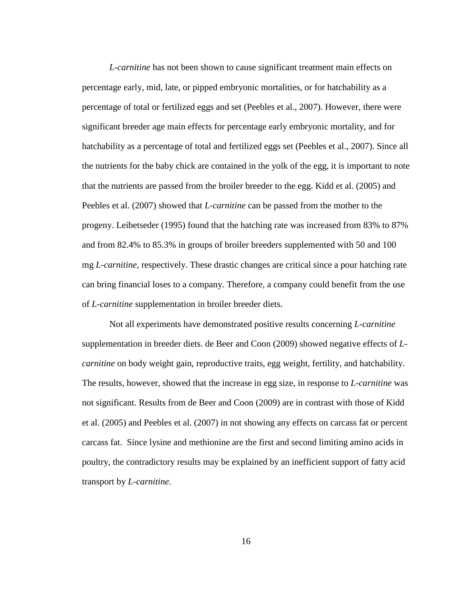*L-carnitine* has not been shown to cause significant treatment main effects on percentage early, mid, late, or pipped embryonic mortalities, or for hatchability as a percentage of total or fertilized eggs and set (Peebles et al., 2007). However, there were significant breeder age main effects for percentage early embryonic mortality, and for hatchability as a percentage of total and fertilized eggs set (Peebles et al., 2007). Since all the nutrients for the baby chick are contained in the yolk of the egg, it is important to note that the nutrients are passed from the broiler breeder to the egg. Kidd et al. (2005) and Peebles et al. (2007) showed that *L-carnitine* can be passed from the mother to the progeny. Leibetseder (1995) found that the hatching rate was increased from 83% to 87% and from 82.4% to 85.3% in groups of broiler breeders supplemented with 50 and 100 mg *L-carnitine*, respectively. These drastic changes are critical since a pour hatching rate can bring financial loses to a company. Therefore, a company could benefit from the use of *L-carnitine* supplementation in broiler breeder diets.

Not all experiments have demonstrated positive results concerning *L-carnitine* supplementation in breeder diets. de Beer and Coon (2009) showed negative effects of *Lcarnitine* on body weight gain, reproductive traits, egg weight, fertility, and hatchability. The results, however, showed that the increase in egg size, in response to *L-carnitine* was not significant. Results from de Beer and Coon (2009) are in contrast with those of Kidd et al. (2005) and Peebles et al. (2007) in not showing any effects on carcass fat or percent carcass fat. Since lysine and methionine are the first and second limiting amino acids in poultry, the contradictory results may be explained by an inefficient support of fatty acid transport by *L-carnitine*.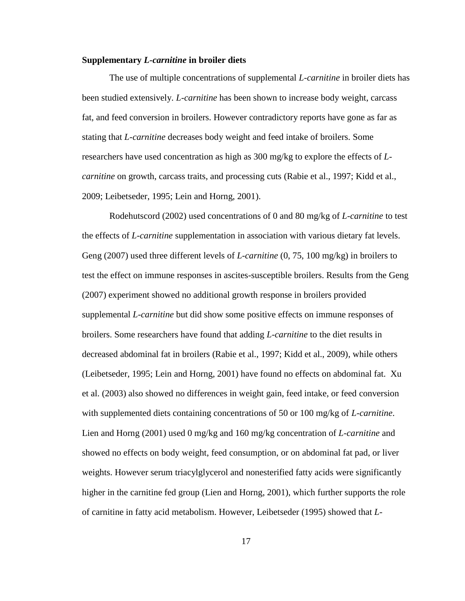#### <span id="page-27-0"></span>**Supplementary** *L-carnitine* **in broiler diets**

The use of multiple concentrations of supplemental *L-carnitine* in broiler diets has been studied extensively. *L-carnitine* has been shown to increase body weight, carcass fat, and feed conversion in broilers. However contradictory reports have gone as far as stating that *L-carnitine* decreases body weight and feed intake of broilers. Some researchers have used concentration as high as 300 mg/kg to explore the effects of *Lcarnitine* on growth, carcass traits, and processing cuts (Rabie et al., 1997; Kidd et al., 2009; Leibetseder, 1995; Lein and Horng, 2001).

Rodehutscord (2002) used concentrations of 0 and 80 mg/kg of *L-carnitine* to test the effects of *L-carnitine* supplementation in association with various dietary fat levels. Geng (2007) used three different levels of *L-carnitine* (0, 75, 100 mg/kg) in broilers to test the effect on immune responses in ascites-susceptible broilers. Results from the Geng (2007) experiment showed no additional growth response in broilers provided supplemental *L-carnitine* but did show some positive effects on immune responses of broilers. Some researchers have found that adding *L-carnitine* to the diet results in decreased abdominal fat in broilers (Rabie et al., 1997; Kidd et al., 2009), while others (Leibetseder, 1995; Lein and Horng, 2001) have found no effects on abdominal fat. Xu et al. (2003) also showed no differences in weight gain, feed intake, or feed conversion with supplemented diets containing concentrations of 50 or 100 mg/kg of *L-carnitine*. Lien and Horng (2001) used 0 mg/kg and 160 mg/kg concentration of *L-carnitine* and showed no effects on body weight, feed consumption, or on abdominal fat pad, or liver weights. However serum triacylglycerol and nonesterified fatty acids were significantly higher in the carnitine fed group (Lien and Horng, 2001), which further supports the role of carnitine in fatty acid metabolism. However, Leibetseder (1995) showed that *L-*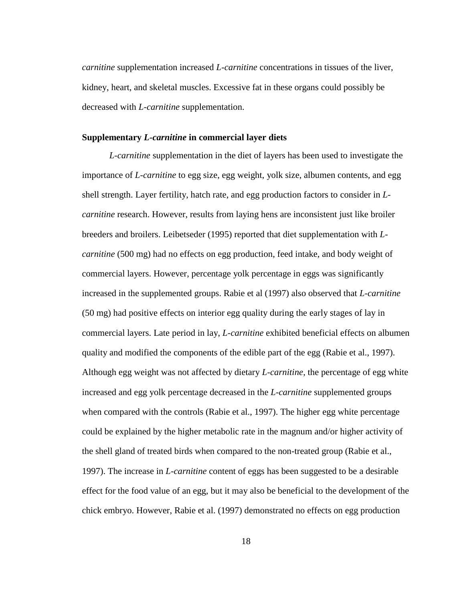*carnitine* supplementation increased *L-carnitine* concentrations in tissues of the liver, kidney, heart, and skeletal muscles. Excessive fat in these organs could possibly be decreased with *L-carnitine* supplementation.

## <span id="page-28-0"></span>**Supplementary** *L-carnitine* **in commercial layer diets**

*L-carnitine* supplementation in the diet of layers has been used to investigate the importance of *L-carnitine* to egg size, egg weight, yolk size, albumen contents, and egg shell strength. Layer fertility, hatch rate, and egg production factors to consider in *Lcarnitine* research. However, results from laying hens are inconsistent just like broiler breeders and broilers. Leibetseder (1995) reported that diet supplementation with *Lcarnitine* (500 mg) had no effects on egg production, feed intake, and body weight of commercial layers. However, percentage yolk percentage in eggs was significantly increased in the supplemented groups. Rabie et al (1997) also observed that *L-carnitine* (50 mg) had positive effects on interior egg quality during the early stages of lay in commercial layers. Late period in lay, *L-carnitine* exhibited beneficial effects on albumen quality and modified the components of the edible part of the egg (Rabie et al., 1997). Although egg weight was not affected by dietary *L-carnitine*, the percentage of egg white increased and egg yolk percentage decreased in the *L-carnitine* supplemented groups when compared with the controls (Rabie et al., 1997). The higher egg white percentage could be explained by the higher metabolic rate in the magnum and/or higher activity of the shell gland of treated birds when compared to the non-treated group (Rabie et al., 1997). The increase in *L-carnitine* content of eggs has been suggested to be a desirable effect for the food value of an egg, but it may also be beneficial to the development of the chick embryo. However, Rabie et al. (1997) demonstrated no effects on egg production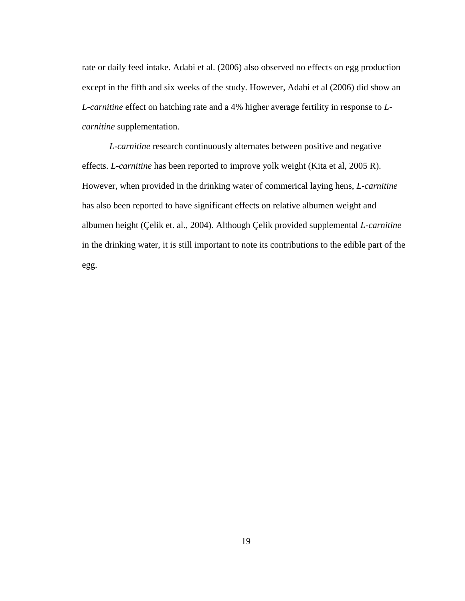rate or daily feed intake. Adabi et al. (2006) also observed no effects on egg production except in the fifth and six weeks of the study. However, Adabi et al (2006) did show an *L-carnitine* effect on hatching rate and a 4% higher average fertility in response to *Lcarnitine* supplementation.

*L-carnitine* research continuously alternates between positive and negative effects. *L-carnitine* has been reported to improve yolk weight (Kita et al, 2005 R). However, when provided in the drinking water of commerical laying hens, *L-carnitine* has also been reported to have significant effects on relative albumen weight and albumen height (Çelik et. al., 2004). Although Çelik provided supplemental *L-carnitine* in the drinking water, it is still important to note its contributions to the edible part of the egg.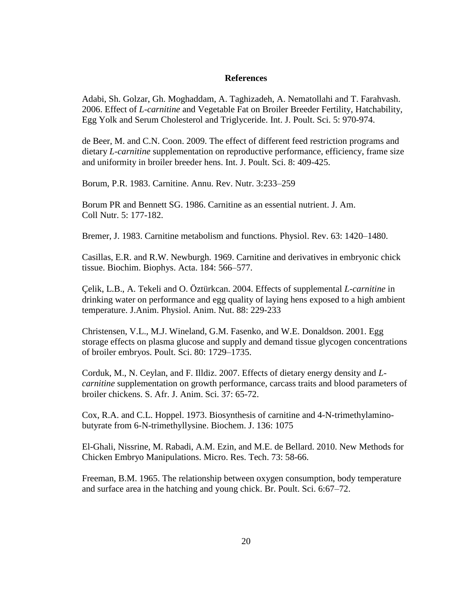#### **References**

<span id="page-30-0"></span>Adabi, Sh. Golzar, Gh. Moghaddam, A. Taghizadeh, A. Nematollahi and T. Farahvash. 2006. Effect of *L-carnitine* and Vegetable Fat on Broiler Breeder Fertility, Hatchability, Egg Yolk and Serum Cholesterol and Triglyceride. Int. J. Poult. Sci. 5: 970-974.

de Beer, M. and C.N. Coon. 2009. The effect of different feed restriction programs and dietary *L-carnitine* supplementation on reproductive performance, efficiency, frame size and uniformity in broiler breeder hens. Int. J. Poult. Sci. 8: 409-425.

Borum, P.R. 1983. Carnitine. Annu. Rev. Nutr. 3:233–259

Borum PR and Bennett SG. 1986. Carnitine as an essential nutrient. J. Am. Coll Nutr. 5: 177-182.

Bremer, J. 1983. Carnitine metabolism and functions. Physiol. Rev. 63: 1420–1480.

Casillas, E.R. and R.W. Newburgh. 1969. Carnitine and derivatives in embryonic chick tissue. Biochim. Biophys. Acta. 184: 566–577.

Çelik, L.B., A. Tekeli and O. Öztürkcan. 2004. Effects of supplemental *L-carnitine* in drinking water on performance and egg quality of laying hens exposed to a high ambient temperature. J.Anim. Physiol. Anim. Nut. 88: 229-233

Christensen, V.L., M.J. Wineland, G.M. Fasenko, and W.E. Donaldson. 2001. Egg storage effects on plasma glucose and supply and demand tissue glycogen concentrations of broiler embryos. Poult. Sci. 80: 1729–1735.

Corduk, M., N. Ceylan, and F. Illdiz. 2007. Effects of dietary energy density and *Lcarnitine* supplementation on growth performance, carcass traits and blood parameters of broiler chickens. S. Afr. J. Anim. Sci. 37: 65-72.

Cox, R.A. and C.L. Hoppel. 1973. Biosynthesis of carnitine and 4-N-trimethylaminobutyrate from 6-N-trimethyllysine. Biochem. J. 136: 1075

El-Ghali, Nissrine, M. Rabadi, A.M. Ezin, and M.E. de Bellard. 2010. New Methods for Chicken Embryo Manipulations. Micro. Res. Tech. 73: 58-66.

Freeman, B.M. 1965. The relationship between oxygen consumption, body temperature and surface area in the hatching and young chick. Br. Poult. Sci. 6:67–72.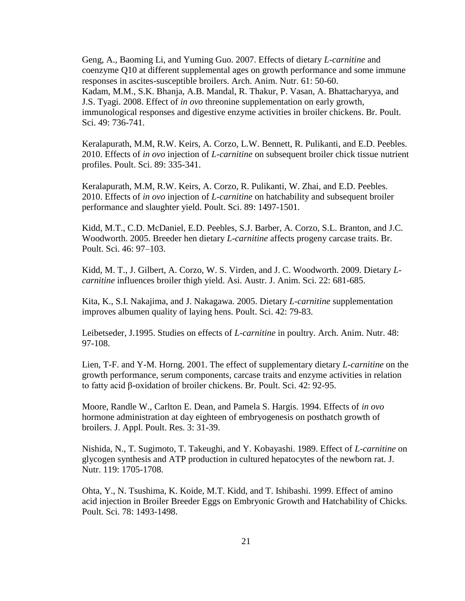Geng, A., Baoming Li, and Yuming Guo. 2007. Effects of dietary *L-carnitine* and coenzyme Q10 at different supplemental ages on growth performance and some immune responses in ascites-susceptible broilers. Arch. Anim. Nutr. 61: 50-60. Kadam, M.M., S.K. Bhanja, A.B. Mandal, R. Thakur, P. Vasan, A. Bhattacharyya, and J.S. Tyagi. 2008. Effect of *in ovo* threonine supplementation on early growth, immunological responses and digestive enzyme activities in broiler chickens. Br. Poult. Sci. 49: 736-741.

Keralapurath, M.M, R.W. Keirs, A. Corzo, L.W. Bennett, R. Pulikanti, and E.D. Peebles. 2010. Effects of *in ovo* injection of *L-carnitine* on subsequent broiler chick tissue nutrient profiles. Poult. Sci. 89: 335-341.

Keralapurath, M.M, R.W. Keirs, A. Corzo, R. Pulikanti, W. Zhai, and E.D. Peebles. 2010. Effects of *in ovo* injection of *L-carnitine* on hatchability and subsequent broiler performance and slaughter yield. Poult. Sci. 89: 1497-1501.

Kidd, M.T., C.D. McDaniel, E.D. Peebles, S.J. Barber, A. Corzo, S.L. Branton, and J.C. Woodworth. 2005. Breeder hen dietary *L-carnitine* affects progeny carcase traits. Br. Poult. Sci. 46: 97–103.

Kidd, M. T., J. Gilbert, A. Corzo, W. S. Virden, and J. C. Woodworth. 2009. Dietary *Lcarnitine* influences broiler thigh yield. Asi. Austr. J. Anim. Sci. 22: 681-685.

Kita, K., S.I. Nakajima, and J. Nakagawa. 2005. Dietary *L-carnitine* supplementation improves albumen quality of laying hens. Poult. Sci. 42: 79-83.

Leibetseder, J.1995. Studies on effects of *L-carnitine* in poultry. Arch. Anim. Nutr. 48: 97-108.

Lien, T-F. and Y-M. Horng. 2001. The effect of supplementary dietary *L-carnitine* on the growth performance, serum components, carcase traits and enzyme activities in relation to fatty acid β-oxidation of broiler chickens. Br. Poult. Sci. 42: 92-95.

Moore, Randle W., Carlton E. Dean, and Pamela S. Hargis. 1994. Effects of *in ovo* hormone administration at day eighteen of embryogenesis on posthatch growth of broilers. J. Appl. Poult. Res. 3: 31-39.

Nishida, N., T. Sugimoto, T. Takeughi, and Y. Kobayashi. 1989. Effect of *L-carnitine* on glycogen synthesis and ATP production in cultured hepatocytes of the newborn rat. J. Nutr. 119: 1705-1708.

Ohta, Y., N. Tsushima, K. Koide, M.T. Kidd, and T. Ishibashi. 1999. Effect of amino acid injection in Broiler Breeder Eggs on Embryonic Growth and Hatchability of Chicks. Poult. Sci. 78: 1493-1498.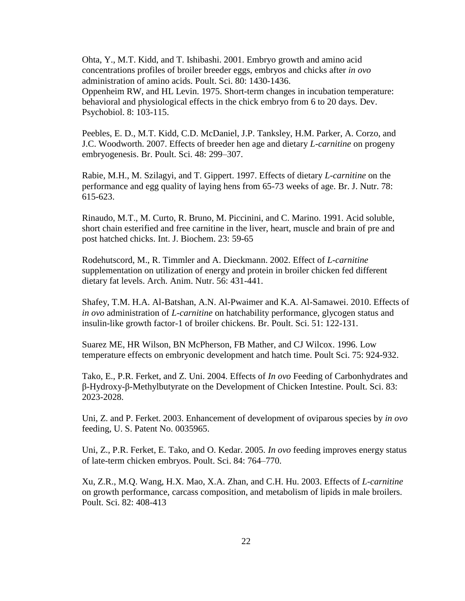Ohta, Y., M.T. Kidd, and T. Ishibashi. 2001. Embryo growth and amino acid concentrations profiles of broiler breeder eggs, embryos and chicks after *in ovo* administration of amino acids. Poult. Sci. 80: 1430-1436. Oppenheim RW, and HL Levin. 1975. Short-term changes in incubation temperature: behavioral and physiological effects in the chick embryo from 6 to 20 days. Dev. Psychobiol. 8: 103-115.

Peebles, E. D., M.T. Kidd, C.D. McDaniel, J.P. Tanksley, H.M. Parker, A. Corzo, and J.C. Woodworth. 2007. Effects of breeder hen age and dietary *L-carnitine* on progeny embryogenesis. Br. Poult. Sci. 48: 299–307.

Rabie, M.H., M. Szilagyi, and T. Gippert. 1997. Effects of dietary *L-carnitine* on the performance and egg quality of laying hens from 65-73 weeks of age. Br. J. Nutr. 78: 615-623.

Rinaudo, M.T., M. Curto, R. Bruno, M. Piccinini, and C. Marino. 1991. Acid soluble, short chain esterified and free carnitine in the liver, heart, muscle and brain of pre and post hatched chicks. Int. J. Biochem. 23: 59-65

Rodehutscord, M., R. Timmler and A. Dieckmann. 2002. Effect of *L-carnitine* supplementation on utilization of energy and protein in broiler chicken fed different dietary fat levels. Arch. Anim. Nutr. 56: 431-441.

Shafey, T.M. H.A. Al-Batshan, A.N. Al-Pwaimer and K.A. Al-Samawei. 2010. Effects of *in ovo* administration of *L-carnitine* on hatchability performance, glycogen status and insulin-like growth factor-1 of broiler chickens. Br. Poult. Sci. 51: 122-131.

Suarez ME, HR Wilson, BN McPherson, FB Mather, and CJ Wilcox. 1996. Low temperature effects on embryonic development and hatch time. Poult Sci. 75: 924-932.

Tako, E., P.R. Ferket, and Z. Uni. 2004. Effects of *In ovo* Feeding of Carbonhydrates and β-Hydroxy-β-Methylbutyrate on the Development of Chicken Intestine. Poult. Sci. 83: 2023-2028.

Uni, Z. and P. Ferket. 2003. Enhancement of development of oviparous species by *in ovo* feeding, U. S. Patent No. 0035965.

Uni, Z., P.R. Ferket, E. Tako, and O. Kedar. 2005. *In ovo* feeding improves energy status of late-term chicken embryos. Poult. Sci. 84: 764–770.

Xu, Z.R., M.Q. Wang, H.X. Mao, X.A. Zhan, and C.H. Hu. 2003. Effects of *L-carnitine* on growth performance, carcass composition, and metabolism of lipids in male broilers. Poult. Sci. 82: 408-413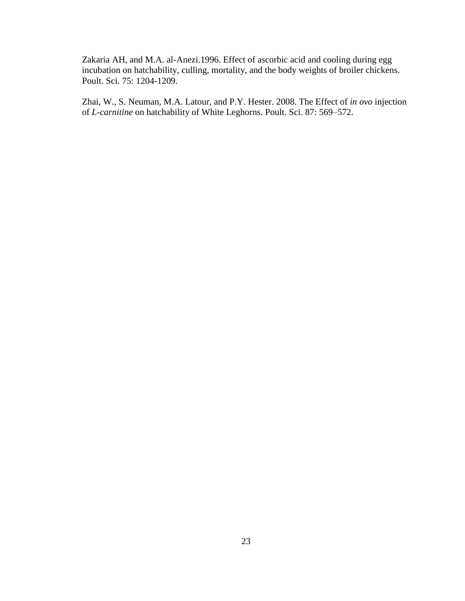Zakaria AH, and M.A. al-Anezi.1996. Effect of ascorbic acid and cooling during egg incubation on hatchability, culling, mortality, and the body weights of broiler chickens. Poult. Sci. 75: 1204-1209.

Zhai, W., S. Neuman, M.A. Latour, and P.Y. Hester. 2008. The Effect of *in ovo* injection of *L-carnitine* on hatchability of White Leghorns. Poult. Sci. 87: 569–572.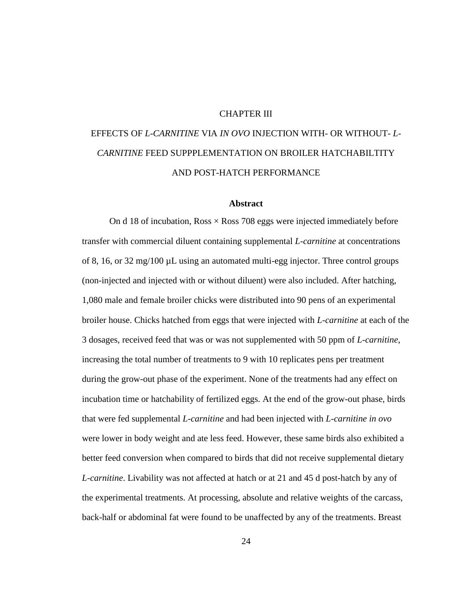## CHAPTER III

# <span id="page-34-0"></span>EFFECTS OF *L-CARNITINE* VIA *IN OVO* INJECTION WITH- OR WITHOUT- *L-CARNITINE* FEED SUPPPLEMENTATION ON BROILER HATCHABILTITY AND POST-HATCH PERFORMANCE

#### **Abstract**

<span id="page-34-1"></span>On d 18 of incubation,  $Ross \times Ross$  708 eggs were injected immediately before transfer with commercial diluent containing supplemental *L-carnitine* at concentrations of 8, 16, or  $32 \text{ mg}/100 \mu L$  using an automated multi-egg injector. Three control groups (non-injected and injected with or without diluent) were also included. After hatching, 1,080 male and female broiler chicks were distributed into 90 pens of an experimental broiler house. Chicks hatched from eggs that were injected with *L-carnitine* at each of the 3 dosages, received feed that was or was not supplemented with 50 ppm of *L-carnitine*, increasing the total number of treatments to 9 with 10 replicates pens per treatment during the grow-out phase of the experiment. None of the treatments had any effect on incubation time or hatchability of fertilized eggs. At the end of the grow-out phase, birds that were fed supplemental *L-carnitine* and had been injected with *L-carnitine in ovo* were lower in body weight and ate less feed. However, these same birds also exhibited a better feed conversion when compared to birds that did not receive supplemental dietary *L-carnitine*. Livability was not affected at hatch or at 21 and 45 d post-hatch by any of the experimental treatments. At processing, absolute and relative weights of the carcass, back-half or abdominal fat were found to be unaffected by any of the treatments. Breast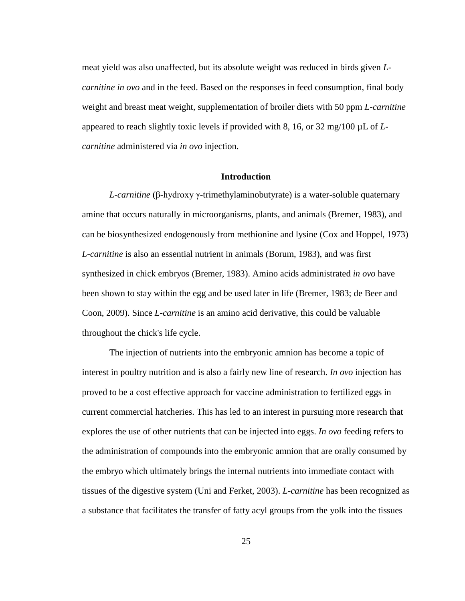meat yield was also unaffected, but its absolute weight was reduced in birds given *Lcarnitine in ovo* and in the feed. Based on the responses in feed consumption, final body weight and breast meat weight, supplementation of broiler diets with 50 ppm *L-carnitine* appeared to reach slightly toxic levels if provided with 8, 16, or 32 mg/100 µL of *Lcarnitine* administered via *in ovo* injection.

#### **Introduction**

<span id="page-35-0"></span>*L-carnitine* (β-hydroxy γ-trimethylaminobutyrate) is a water-soluble quaternary amine that occurs naturally in microorganisms, plants, and animals (Bremer, 1983), and can be biosynthesized endogenously from methionine and lysine (Cox and Hoppel, 1973) *L-carnitine* is also an essential nutrient in animals (Borum, 1983), and was first synthesized in chick embryos (Bremer, 1983). Amino acids administrated *in ovo* have been shown to stay within the egg and be used later in life (Bremer, 1983; de Beer and Coon, 2009). Since *L-carnitine* is an amino acid derivative, this could be valuable throughout the chick's life cycle.

The injection of nutrients into the embryonic amnion has become a topic of interest in poultry nutrition and is also a fairly new line of research. *In ovo* injection has proved to be a cost effective approach for vaccine administration to fertilized eggs in current commercial hatcheries. This has led to an interest in pursuing more research that explores the use of other nutrients that can be injected into eggs. *In ovo* feeding refers to the administration of compounds into the embryonic amnion that are orally consumed by the embryo which ultimately brings the internal nutrients into immediate contact with tissues of the digestive system (Uni and Ferket, 2003). *L-carnitine* has been recognized as a substance that facilitates the transfer of fatty acyl groups from the yolk into the tissues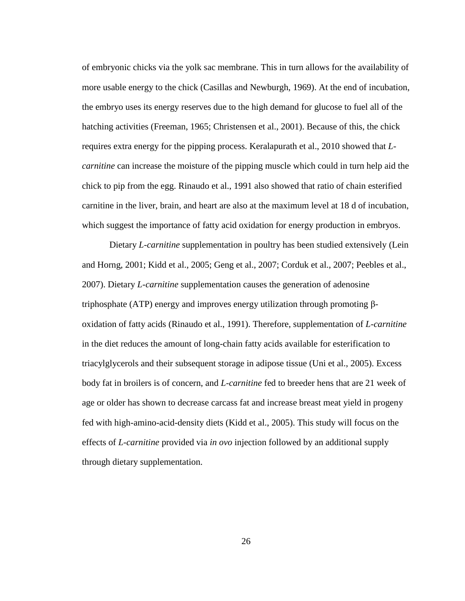of embryonic chicks via the yolk sac membrane. This in turn allows for the availability of more usable energy to the chick (Casillas and Newburgh, 1969). At the end of incubation, the embryo uses its energy reserves due to the high demand for glucose to fuel all of the hatching activities (Freeman, 1965; Christensen et al., 2001). Because of this, the chick requires extra energy for the pipping process. Keralapurath et al., 2010 showed that *Lcarnitine* can increase the moisture of the pipping muscle which could in turn help aid the chick to pip from the egg. Rinaudo et al., 1991 also showed that ratio of chain esterified carnitine in the liver, brain, and heart are also at the maximum level at 18 d of incubation, which suggest the importance of fatty acid oxidation for energy production in embryos.

Dietary *L-carnitine* supplementation in poultry has been studied extensively (Lein and Horng, 2001; Kidd et al., 2005; Geng et al., 2007; Corduk et al., 2007; Peebles et al., 2007). Dietary *L-carnitine* supplementation causes the generation of adenosine triphosphate (ATP) energy and improves energy utilization through promoting βoxidation of fatty acids (Rinaudo et al., 1991). Therefore, supplementation of *L-carnitine* in the diet reduces the amount of long-chain fatty acids available for esterification to triacylglycerols and their subsequent storage in adipose tissue (Uni et al., 2005). Excess body fat in broilers is of concern, and *L-carnitine* fed to breeder hens that are 21 week of age or older has shown to decrease carcass fat and increase breast meat yield in progeny fed with high-amino-acid-density diets (Kidd et al., 2005). This study will focus on the effects of *L-carnitine* provided via *in ovo* injection followed by an additional supply through dietary supplementation.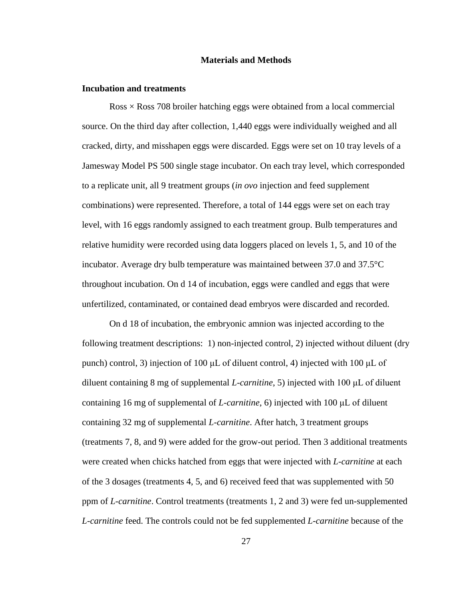#### **Materials and Methods**

#### <span id="page-37-1"></span><span id="page-37-0"></span>**Incubation and treatments**

 $Ross \times Ross$  708 broiler hatching eggs were obtained from a local commercial source. On the third day after collection, 1,440 eggs were individually weighed and all cracked, dirty, and misshapen eggs were discarded. Eggs were set on 10 tray levels of a Jamesway Model PS 500 single stage incubator. On each tray level, which corresponded to a replicate unit, all 9 treatment groups (*in ovo* injection and feed supplement combinations) were represented. Therefore, a total of 144 eggs were set on each tray level, with 16 eggs randomly assigned to each treatment group. Bulb temperatures and relative humidity were recorded using data loggers placed on levels 1, 5, and 10 of the incubator. Average dry bulb temperature was maintained between 37.0 and 37.5°C throughout incubation. On d 14 of incubation, eggs were candled and eggs that were unfertilized, contaminated, or contained dead embryos were discarded and recorded.

On d 18 of incubation, the embryonic amnion was injected according to the following treatment descriptions: 1) non-injected control, 2) injected without diluent (dry punch) control, 3) injection of 100 μL of diluent control, 4) injected with 100 μL of diluent containing 8 mg of supplemental *L-carnitine*, 5) injected with 100 μL of diluent containing 16 mg of supplemental of *L-carnitine*, 6) injected with 100 μL of diluent containing 32 mg of supplemental *L-carnitine*. After hatch, 3 treatment groups (treatments 7, 8, and 9) were added for the grow-out period. Then 3 additional treatments were created when chicks hatched from eggs that were injected with *L-carnitine* at each of the 3 dosages (treatments 4, 5, and 6) received feed that was supplemented with 50 ppm of *L-carnitine*. Control treatments (treatments 1, 2 and 3) were fed un-supplemented *L-carnitine* feed. The controls could not be fed supplemented *L-carnitine* because of the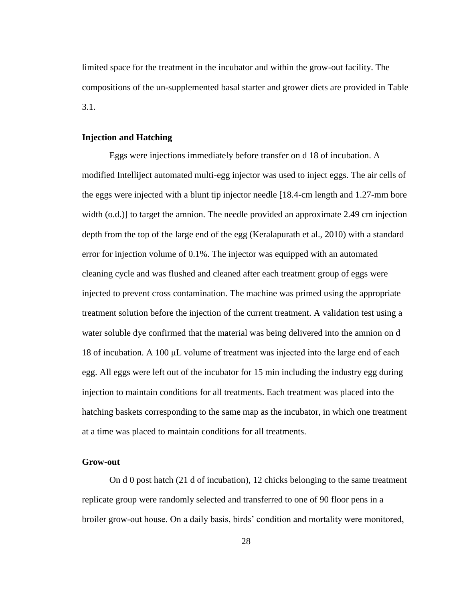limited space for the treatment in the incubator and within the grow-out facility. The compositions of the un-supplemented basal starter and grower diets are provided in Table 3.1.

# <span id="page-38-0"></span>**Injection and Hatching**

Eggs were injections immediately before transfer on d 18 of incubation. A modified Intelliject automated multi-egg injector was used to inject eggs. The air cells of the eggs were injected with a blunt tip injector needle [18.4-cm length and 1.27-mm bore width (o.d.)] to target the amnion. The needle provided an approximate 2.49 cm injection depth from the top of the large end of the egg (Keralapurath et al., 2010) with a standard error for injection volume of 0.1%. The injector was equipped with an automated cleaning cycle and was flushed and cleaned after each treatment group of eggs were injected to prevent cross contamination. The machine was primed using the appropriate treatment solution before the injection of the current treatment. A validation test using a water soluble dye confirmed that the material was being delivered into the amnion on d 18 of incubation. A 100 μL volume of treatment was injected into the large end of each egg. All eggs were left out of the incubator for 15 min including the industry egg during injection to maintain conditions for all treatments. Each treatment was placed into the hatching baskets corresponding to the same map as the incubator, in which one treatment at a time was placed to maintain conditions for all treatments.

#### <span id="page-38-1"></span>**Grow-out**

On d 0 post hatch (21 d of incubation), 12 chicks belonging to the same treatment replicate group were randomly selected and transferred to one of 90 floor pens in a broiler grow-out house. On a daily basis, birds' condition and mortality were monitored,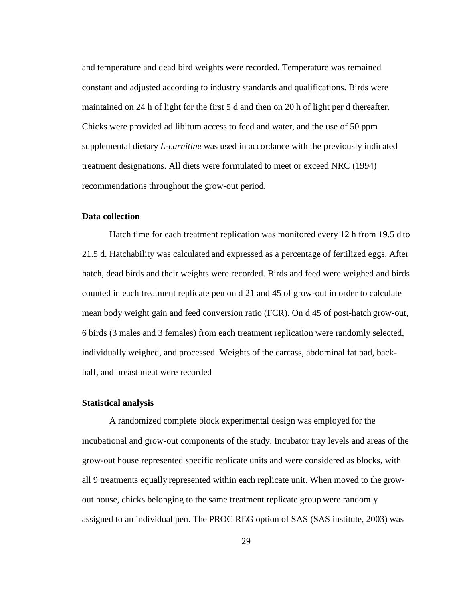and temperature and dead bird weights were recorded. Temperature was remained constant and adjusted according to industry standards and qualifications. Birds were maintained on 24 h of light for the first 5 d and then on 20 h of light per d thereafter. Chicks were provided ad libitum access to feed and water, and the use of 50 ppm supplemental dietary *L-carnitine* was used in accordance with the previously indicated treatment designations. All diets were formulated to meet or exceed NRC (1994) recommendations throughout the grow-out period.

#### <span id="page-39-0"></span>**Data collection**

Hatch time for each treatment replication was monitored every 12 h from 19.5 d to 21.5 d. Hatchability was calculated and expressed as a percentage of fertilized eggs. After hatch, dead birds and their weights were recorded. Birds and feed were weighed and birds counted in each treatment replicate pen on d 21 and 45 of grow-out in order to calculate mean body weight gain and feed conversion ratio (FCR). On d 45 of post-hatch grow-out, 6 birds (3 males and 3 females) from each treatment replication were randomly selected, individually weighed, and processed. Weights of the carcass, abdominal fat pad, backhalf, and breast meat were recorded

#### <span id="page-39-1"></span>**Statistical analysis**

A randomized complete block experimental design was employed for the incubational and grow-out components of the study. Incubator tray levels and areas of the grow-out house represented specific replicate units and were considered as blocks, with all 9 treatments equally represented within each replicate unit. When moved to the growout house, chicks belonging to the same treatment replicate group were randomly assigned to an individual pen. The PROC REG option of SAS (SAS institute, 2003) was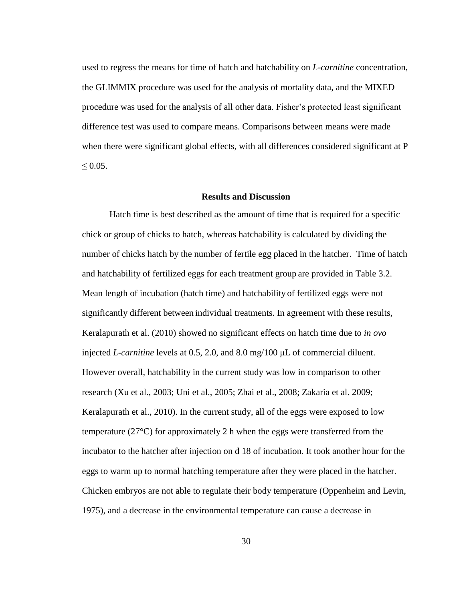used to regress the means for time of hatch and hatchability on *L-carnitine* concentration, the GLIMMIX procedure was used for the analysis of mortality data, and the MIXED procedure was used for the analysis of all other data. Fisher's protected least significant difference test was used to compare means. Comparisons between means were made when there were significant global effects, with all differences considered significant at P  $< 0.05$ .

#### **Results and Discussion**

<span id="page-40-0"></span>Hatch time is best described as the amount of time that is required for a specific chick or group of chicks to hatch, whereas hatchability is calculated by dividing the number of chicks hatch by the number of fertile egg placed in the hatcher. Time of hatch and hatchability of fertilized eggs for each treatment group are provided in Table 3.2. Mean length of incubation (hatch time) and hatchability of fertilized eggs were not significantly different between individual treatments. In agreement with these results, Keralapurath et al. (2010) showed no significant effects on hatch time due to *in ovo* injected *L-carnitine* levels at 0.5, 2.0, and 8.0 mg/100 μL of commercial diluent. However overall, hatchability in the current study was low in comparison to other research (Xu et al., 2003; Uni et al., 2005; Zhai et al., 2008; Zakaria et al. 2009; Keralapurath et al., 2010). In the current study, all of the eggs were exposed to low temperature (27°C) for approximately 2 h when the eggs were transferred from the incubator to the hatcher after injection on d 18 of incubation. It took another hour for the eggs to warm up to normal hatching temperature after they were placed in the hatcher. Chicken embryos are not able to regulate their body temperature (Oppenheim and Levin, 1975), and a decrease in the environmental temperature can cause a decrease in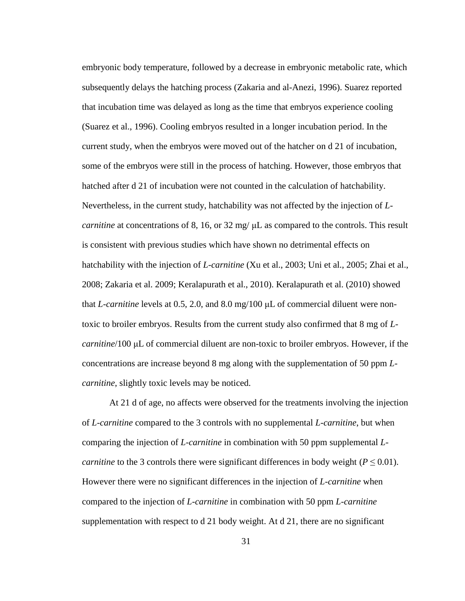embryonic body temperature, followed by a decrease in embryonic metabolic rate, which subsequently delays the hatching process (Zakaria and al-Anezi, 1996). Suarez reported that incubation time was delayed as long as the time that embryos experience cooling (Suarez et al., 1996). Cooling embryos resulted in a longer incubation period. In the current study, when the embryos were moved out of the hatcher on d 21 of incubation, some of the embryos were still in the process of hatching. However, those embryos that hatched after d 21 of incubation were not counted in the calculation of hatchability. Nevertheless, in the current study, hatchability was not affected by the injection of *Lcarnitine* at concentrations of 8, 16, or 32 mg/ μL as compared to the controls. This result is consistent with previous studies which have shown no detrimental effects on hatchability with the injection of *L-carnitine* (Xu et al., 2003; Uni et al., 2005; Zhai et al., 2008; Zakaria et al. 2009; Keralapurath et al., 2010). Keralapurath et al. (2010) showed that *L-carnitine* levels at 0.5, 2.0, and 8.0 mg/100 μL of commercial diluent were nontoxic to broiler embryos. Results from the current study also confirmed that 8 mg of *Lcarnitine*/100 μL of commercial diluent are non-toxic to broiler embryos. However, if the concentrations are increase beyond 8 mg along with the supplementation of 50 ppm *Lcarnitine*, slightly toxic levels may be noticed.

At 21 d of age, no affects were observed for the treatments involving the injection of *L-carnitine* compared to the 3 controls with no supplemental *L-carnitine*, but when comparing the injection of *L-carnitine* in combination with 50 ppm supplemental *Lcarnitine* to the 3 controls there were significant differences in body weight ( $P \leq 0.01$ ). However there were no significant differences in the injection of *L-carnitine* when compared to the injection of *L-carnitine* in combination with 50 ppm *L-carnitine* supplementation with respect to d 21 body weight. At d 21, there are no significant

31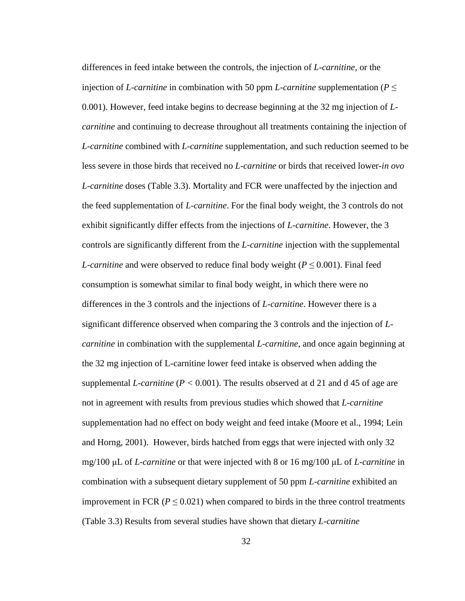differences in feed intake between the controls, the injection of *L-carnitine*, or the injection of *L-carnitine* in combination with 50 ppm *L-carnitine* supplementation ( $P \leq$ 0.001). However, feed intake begins to decrease beginning at the 32 mg injection of *Lcarnitine* and continuing to decrease throughout all treatments containing the injection of *L-carnitine* combined with *L-carnitine* supplementation, and such reduction seemed to be less severe in those birds that received no *L-carnitine* or birds that received lower-*in ovo L-carnitine* doses (Table 3.3). Mortality and FCR were unaffected by the injection and the feed supplementation of *L-carnitine*. For the final body weight, the 3 controls do not exhibit significantly differ effects from the injections of *L-carnitine*. However, the 3 controls are significantly different from the *L-carnitine* injection with the supplemental *L*-carnitine and were observed to reduce final body weight ( $P \le 0.001$ ). Final feed consumption is somewhat similar to final body weight, in which there were no differences in the 3 controls and the injections of *L-carnitine*. However there is a significant difference observed when comparing the 3 controls and the injection of *Lcarnitine* in combination with the supplemental *L-carnitine*, and once again beginning at the 32 mg injection of L-carnitine lower feed intake is observed when adding the supplemental *L-carnitine* (*P <* 0.001). The results observed at d 21 and d 45 of age are not in agreement with results from previous studies which showed that *L-carnitine* supplementation had no effect on body weight and feed intake (Moore et al., 1994; Lein and Horng, 2001). However, birds hatched from eggs that were injected with only 32 mg/100 μL of *L-carnitine* or that were injected with 8 or 16 mg/100 μL of *L-carnitine* in combination with a subsequent dietary supplement of 50 ppm *L-carnitine* exhibited an improvement in FCR ( $P \le 0.021$ ) when compared to birds in the three control treatments (Table 3.3) Results from several studies have shown that dietary *L-carnitine*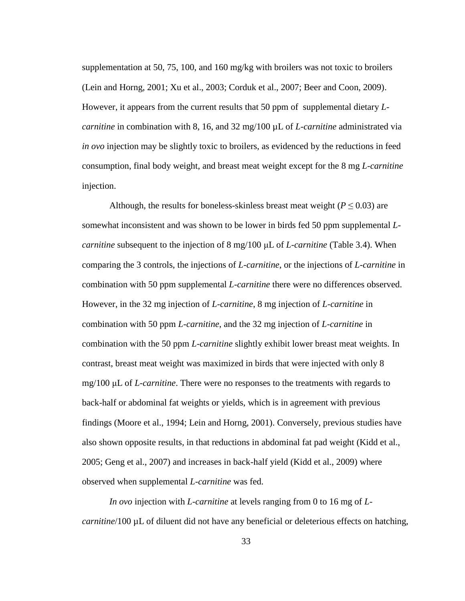supplementation at 50, 75, 100, and 160 mg/kg with broilers was not toxic to broilers (Lein and Horng, 2001; Xu et al., 2003; Corduk et al., 2007; Beer and Coon, 2009). However, it appears from the current results that 50 ppm of supplemental dietary *Lcarnitine* in combination with 8, 16, and 32 mg/100 µL of *L-carnitine* administrated via *in ovo* injection may be slightly toxic to broilers, as evidenced by the reductions in feed consumption, final body weight, and breast meat weight except for the 8 mg *L-carnitine*  injection.

Although, the results for boneless-skinless breast meat weight ( $P \le 0.03$ ) are somewhat inconsistent and was shown to be lower in birds fed 50 ppm supplemental *Lcarnitine* subsequent to the injection of 8 mg/100 μL of *L-carnitine* (Table 3.4). When comparing the 3 controls, the injections of *L-carnitine*, or the injections of *L-carnitine* in combination with 50 ppm supplemental *L-carnitine* there were no differences observed. However, in the 32 mg injection of *L-carnitine*, 8 mg injection of *L-carnitine* in combination with 50 ppm *L-carnitine*, and the 32 mg injection of *L-carnitine* in combination with the 50 ppm *L-carnitine* slightly exhibit lower breast meat weights. In contrast, breast meat weight was maximized in birds that were injected with only 8 mg/100 μL of *L-carnitine*. There were no responses to the treatments with regards to back-half or abdominal fat weights or yields, which is in agreement with previous findings (Moore et al., 1994; Lein and Horng, 2001). Conversely, previous studies have also shown opposite results, in that reductions in abdominal fat pad weight (Kidd et al., 2005; Geng et al., 2007) and increases in back-half yield (Kidd et al., 2009) where observed when supplemental *L-carnitine* was fed.

*In ovo* injection with *L-carnitine* at levels ranging from 0 to 16 mg of *Lcarnitine*/100 µL of diluent did not have any beneficial or deleterious effects on hatching,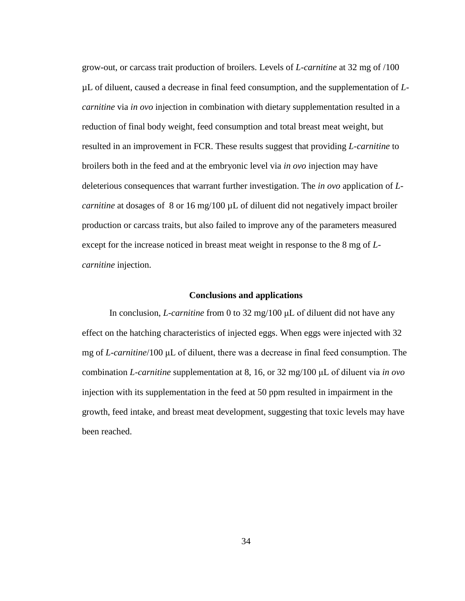grow-out, or carcass trait production of broilers. Levels of *L-carnitine* at 32 mg of /100 µL of diluent, caused a decrease in final feed consumption, and the supplementation of *Lcarnitine* via *in ovo* injection in combination with dietary supplementation resulted in a reduction of final body weight, feed consumption and total breast meat weight, but resulted in an improvement in FCR. These results suggest that providing *L-carnitine* to broilers both in the feed and at the embryonic level via *in ovo* injection may have deleterious consequences that warrant further investigation. The *in ovo* application of *Lcarnitine* at dosages of 8 or 16 mg/100 µL of diluent did not negatively impact broiler production or carcass traits, but also failed to improve any of the parameters measured except for the increase noticed in breast meat weight in response to the 8 mg of *Lcarnitine* injection.

#### **Conclusions and applications**

<span id="page-44-0"></span>In conclusion, *L-carnitine* from 0 to 32 mg/100 μL of diluent did not have any effect on the hatching characteristics of injected eggs. When eggs were injected with 32 mg of *L-carnitine*/100 μL of diluent, there was a decrease in final feed consumption. The combination *L-carnitine* supplementation at 8, 16, or 32 mg/100 μL of diluent via *in ovo* injection with its supplementation in the feed at 50 ppm resulted in impairment in the growth, feed intake, and breast meat development, suggesting that toxic levels may have been reached.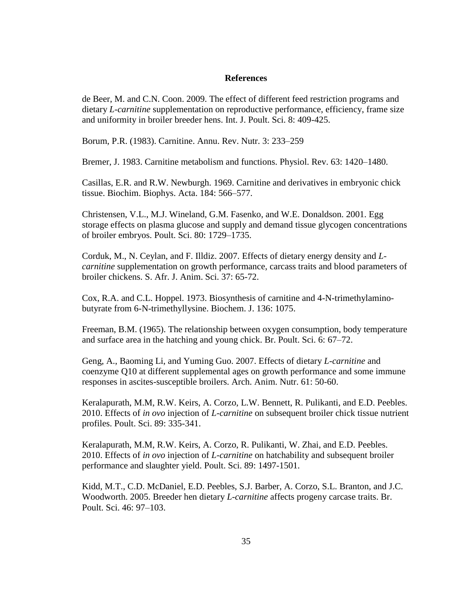#### **References**

<span id="page-45-0"></span>de Beer, M. and C.N. Coon. 2009. The effect of different feed restriction programs and dietary *L-carnitine* supplementation on reproductive performance, efficiency, frame size and uniformity in broiler breeder hens. Int. J. Poult. Sci. 8: 409-425.

Borum, P.R. (1983). Carnitine. Annu. Rev. Nutr. 3: 233–259

Bremer, J. 1983. Carnitine metabolism and functions. Physiol. Rev. 63: 1420–1480.

Casillas, E.R. and R.W. Newburgh. 1969. Carnitine and derivatives in embryonic chick tissue. Biochim. Biophys. Acta. 184: 566–577.

Christensen, V.L., M.J. Wineland, G.M. Fasenko, and W.E. Donaldson. 2001. Egg storage effects on plasma glucose and supply and demand tissue glycogen concentrations of broiler embryos. Poult. Sci. 80: 1729–1735.

Corduk, M., N. Ceylan, and F. Illdiz. 2007. Effects of dietary energy density and *Lcarnitine* supplementation on growth performance, carcass traits and blood parameters of broiler chickens. S. Afr. J. Anim. Sci. 37: 65-72.

Cox, R.A. and C.L. Hoppel. 1973. Biosynthesis of carnitine and 4-N-trimethylaminobutyrate from 6-N-trimethyllysine. Biochem. J. 136: 1075.

Freeman, B.M. (1965). The relationship between oxygen consumption, body temperature and surface area in the hatching and young chick. Br. Poult. Sci. 6: 67–72.

Geng, A., Baoming Li, and Yuming Guo. 2007. Effects of dietary *L-carnitine* and coenzyme Q10 at different supplemental ages on growth performance and some immune responses in ascites-susceptible broilers. Arch. Anim. Nutr. 61: 50-60.

Keralapurath, M.M, R.W. Keirs, A. Corzo, L.W. Bennett, R. Pulikanti, and E.D. Peebles. 2010. Effects of *in ovo* injection of *L-carnitine* on subsequent broiler chick tissue nutrient profiles. Poult. Sci. 89: 335-341.

Keralapurath, M.M, R.W. Keirs, A. Corzo, R. Pulikanti, W. Zhai, and E.D. Peebles. 2010. Effects of *in ovo* injection of *L-carnitine* on hatchability and subsequent broiler performance and slaughter yield. Poult. Sci. 89: 1497-1501.

Kidd, M.T., C.D. McDaniel, E.D. Peebles, S.J. Barber, A. Corzo, S.L. Branton, and J.C. Woodworth. 2005. Breeder hen dietary *L-carnitine* affects progeny carcase traits. Br. Poult. Sci. 46: 97–103.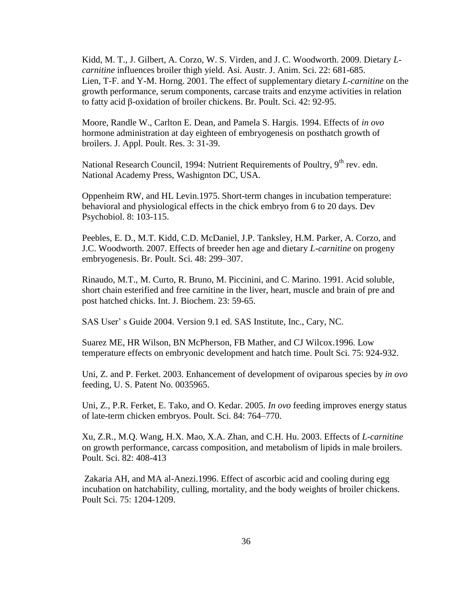Kidd, M. T., J. Gilbert, A. Corzo, W. S. Virden, and J. C. Woodworth. 2009. Dietary *Lcarnitine* influences broiler thigh yield. Asi. Austr. J. Anim. Sci. 22: 681-685. Lien, T-F. and Y-M. Horng. 2001. The effect of supplementary dietary *L-carnitine* on the growth performance, serum components, carcase traits and enzyme activities in relation to fatty acid β-oxidation of broiler chickens. Br. Poult. Sci. 42: 92-95.

Moore, Randle W., Carlton E. Dean, and Pamela S. Hargis. 1994. Effects of *in ovo* hormone administration at day eighteen of embryogenesis on posthatch growth of broilers. J. Appl. Poult. Res. 3: 31-39.

National Research Council, 1994: Nutrient Requirements of Poultry, 9<sup>th</sup> rev. edn. National Academy Press, Washignton DC, USA.

Oppenheim RW, and HL Levin.1975. Short-term changes in incubation temperature: behavioral and physiological effects in the chick embryo from 6 to 20 days. Dev Psychobiol. 8: 103-115.

Peebles, E. D., M.T. Kidd, C.D. McDaniel, J.P. Tanksley, H.M. Parker, A. Corzo, and J.C. Woodworth. 2007. Effects of breeder hen age and dietary *L-carnitine* on progeny embryogenesis. Br. Poult. Sci. 48: 299–307.

Rinaudo, M.T., M. Curto, R. Bruno, M. Piccinini, and C. Marino. 1991. Acid soluble, short chain esterified and free carnitine in the liver, heart, muscle and brain of pre and post hatched chicks. Int. J. Biochem. 23: 59-65.

SAS User' s Guide 2004. Version 9.1 ed. SAS Institute, Inc., Cary, NC.

Suarez ME, HR Wilson, BN McPherson, FB Mather, and CJ Wilcox.1996. Low temperature effects on embryonic development and hatch time. Poult Sci. 75: 924-932.

Uni, Z. and P. Ferket. 2003. Enhancement of development of oviparous species by *in ovo* feeding, U. S. Patent No. 0035965.

Uni, Z., P.R. Ferket, E. Tako, and O. Kedar. 2005. *In ovo* feeding improves energy status of late-term chicken embryos. Poult. Sci. 84: 764–770.

Xu, Z.R., M.Q. Wang, H.X. Mao, X.A. Zhan, and C.H. Hu. 2003. Effects of *L-carnitine* on growth performance, carcass composition, and metabolism of lipids in male broilers. Poult. Sci. 82: 408-413

Zakaria AH, and MA al-Anezi.1996. Effect of ascorbic acid and cooling during egg incubation on hatchability, culling, mortality, and the body weights of broiler chickens. Poult Sci. 75: 1204-1209.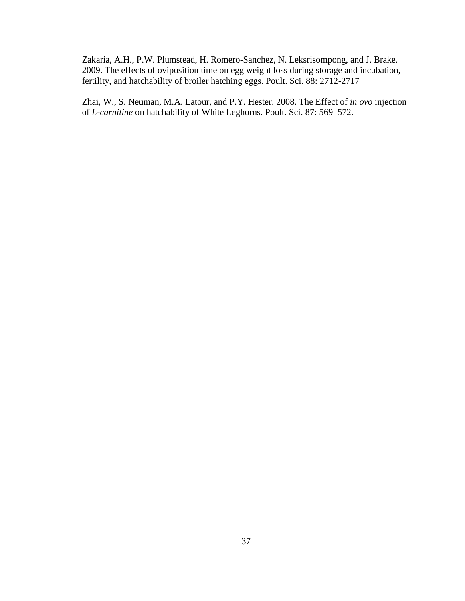Zakaria, A.H., P.W. Plumstead, H. Romero-Sanchez, N. Leksrisompong, and J. Brake. 2009. The effects of oviposition time on egg weight loss during storage and incubation, fertility, and hatchability of broiler hatching eggs. Poult. Sci. 88: 2712-2717

Zhai, W., S. Neuman, M.A. Latour, and P.Y. Hester. 2008. The Effect of *in ovo* injection of *L-carnitine* on hatchability of White Leghorns. Poult. Sci. 87: 569–572.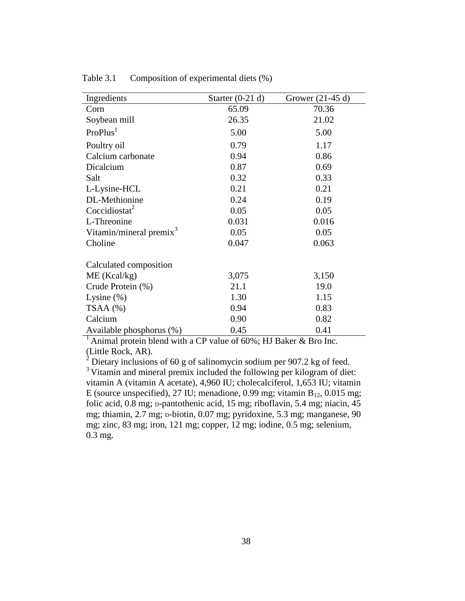| Ingredients                         | Starter $(0-21 d)$ | Grower $(21-45d)$ |  |  |
|-------------------------------------|--------------------|-------------------|--|--|
| Corn                                | 65.09              | 70.36             |  |  |
| Soybean mill                        | 26.35              | 21.02             |  |  |
| ProPlus <sup>1</sup>                | 5.00               | 5.00              |  |  |
| Poultry oil                         | 0.79               | 1.17              |  |  |
| Calcium carbonate                   | 0.94               | 0.86              |  |  |
| Dicalcium                           | 0.87               | 0.69              |  |  |
| Salt                                | 0.32               | 0.33              |  |  |
| L-Lysine-HCL                        | 0.21               | 0.21              |  |  |
| DL-Methionine                       | 0.24               | 0.19              |  |  |
| Coccidiostat <sup>2</sup>           | 0.05               | 0.05              |  |  |
| L-Threonine                         | 0.031              | 0.016             |  |  |
| Vitamin/mineral premix <sup>3</sup> | 0.05               | 0.05              |  |  |
| Choline                             | 0.047              | 0.063             |  |  |
| Calculated composition              |                    |                   |  |  |
| ME (Kcal/kg)                        | 3,075              | 3,150             |  |  |
| Crude Protein (%)                   | 21.1               | 19.0              |  |  |
| Lysine $(\%)$                       | 1.30               | 1.15              |  |  |
| $TSAA$ $(\% )$                      | 0.94               | 0.83              |  |  |
| Calcium                             | 0.90               | 0.82              |  |  |
| Available phosphorus (%)            | 0.45               | 0.41              |  |  |

<span id="page-48-0"></span>Table 3.1 Composition of experimental diets (%)

 $<sup>1</sup>$  Animal protein blend with a CP value of 60%; HJ Baker & Bro Inc.</sup> (Little Rock, AR).

 $2^2$  Dietary inclusions of 60 g of salinomycin sodium per 907.2 kg of feed. <sup>3</sup> Vitamin and mineral premix included the following per kilogram of diet: vitamin A (vitamin A acetate), 4,960 IU; cholecalciferol, 1,653 IU; vitamin E (source unspecified), 27 IU; menadione, 0.99 mg; vitamin  $B_{12}$ , 0.015 mg; folic acid,  $0.8$  mg;  $p$ -pantothenic acid,  $15$  mg; riboflavin,  $5.4$  mg; niacin,  $45$ mg; thiamin, 2.7 mg; p-biotin, 0.07 mg; pyridoxine, 5.3 mg; manganese, 90 mg; zinc, 83 mg; iron, 121 mg; copper, 12 mg; iodine, 0.5 mg; selenium, 0.3 mg.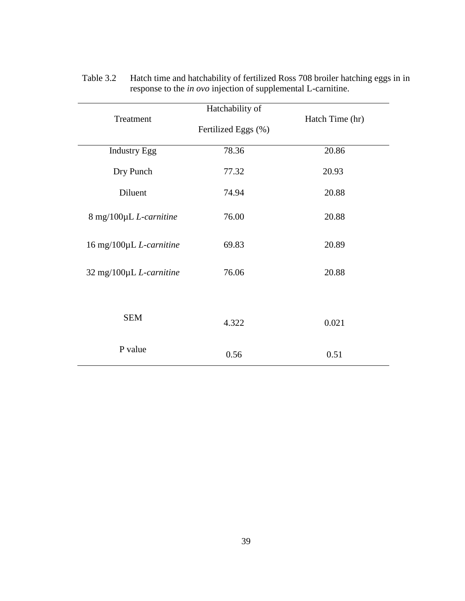| Treatment               | Hatchability of     | Hatch Time (hr) |
|-------------------------|---------------------|-----------------|
|                         | Fertilized Eggs (%) |                 |
| <b>Industry Egg</b>     | 78.36               | 20.86           |
| Dry Punch               | 77.32               | 20.93           |
| Diluent                 | 74.94               | 20.88           |
| 8 mg/100μL L-carnitine  | 76.00               | 20.88           |
| 16 mg/100μL L-carnitine | 69.83               | 20.89           |
| 32 mg/100µL L-carnitine | 76.06               | 20.88           |
|                         |                     |                 |
| <b>SEM</b>              | 4.322               | 0.021           |
| P value                 | 0.56                | 0.51            |

<span id="page-49-0"></span>Table 3.2 Hatch time and hatchability of fertilized Ross 708 broiler hatching eggs in in response to the *in ovo* injection of supplemental L-carnitine.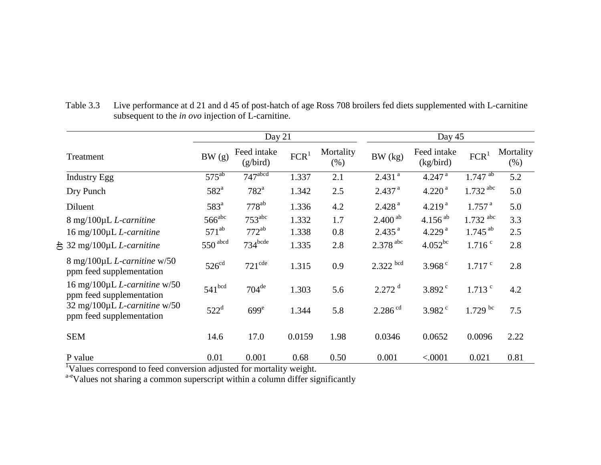<span id="page-50-0"></span>

|                                                                                | Day 21                           |                                  |                  |                   | Day 45                             |                                     |                                      |                     |
|--------------------------------------------------------------------------------|----------------------------------|----------------------------------|------------------|-------------------|------------------------------------|-------------------------------------|--------------------------------------|---------------------|
| Treatment                                                                      | BW(g)                            | Feed intake<br>(g/bird)          | FCR <sup>1</sup> | Mortality<br>(% ) | BW (kg)                            | Feed intake<br>(kg/bird)            | FCR <sup>1</sup>                     | Mortality<br>$(\%)$ |
| <b>Industry Egg</b>                                                            | $575^{ab}$                       | $747$ <sup>abcd</sup>            | 1.337            | 2.1               | 2.431 <sup>a</sup>                 | $4.247$ <sup>a</sup>                | $1.747^{ab}$                         | 5.2                 |
| Dry Punch                                                                      | $582^a$                          | $782^a$                          | 1.342            | 2.5               | $2.437$ <sup>a</sup>               | 4.220 <sup>a</sup>                  | $1.732$ <sup>abc</sup>               | 5.0                 |
| Diluent                                                                        | 583 <sup>a</sup>                 | $778^{ab}$                       | 1.336            | 4.2               | 2.428 <sup>a</sup>                 | 4.219 <sup>a</sup>                  | 1.757 <sup>a</sup>                   | 5.0                 |
| 8 mg/100µL L-carnitine<br>16 mg/100µL L-carnitine                              | 566 <sup>abc</sup><br>$571^{ab}$ | $753^{\text{abc}}$<br>$772^{ab}$ | 1.332<br>1.338   | 1.7<br>0.8        | $2.400^{ab}$<br>2.435 <sup>a</sup> | 4.156 $^{ab}$<br>4.229 <sup>a</sup> | $1.732$ abc<br>$1.745$ <sup>ab</sup> | 3.3<br>2.5          |
| $\frac{1}{2}$ 32 mg/100µL <i>L</i> -carnitine                                  | $550$ abcd                       | $734$ bcde                       | 1.335            | 2.8               | $2.378$ <sup>abc</sup>             | $4.052^{bc}$                        | $1.716$ <sup>c</sup>                 | 2.8                 |
| $8 \text{ mg}/100 \mu L$ <i>L</i> -carnitine w/50<br>ppm feed supplementation  | 526 <sup>cd</sup>                | 721 <sup>cde</sup>               | 1.315            | 0.9               | $2.322$ bcd                        | $3.968$ <sup>c</sup>                | $1.717$ $\degree$                    | 2.8                 |
| 16 mg/100 $\mu$ L <i>L</i> -carnitine w/50<br>ppm feed supplementation         | 541 <sup>bcd</sup>               | $704^{\text{de}}$                | 1.303            | 5.6               | $2.272$ <sup>d</sup>               | $3.892$ <sup>c</sup>                | $1.713$ $\degree$                    | 4.2                 |
| $32 \text{ mg}/100 \mu L$ <i>L</i> -carnitine w/50<br>ppm feed supplementation | $522^{\mathrm{d}}$               | 699 <sup>e</sup>                 | 1.344            | 5.8               | $2.286$ <sup>cd</sup>              | $3.982$ <sup>c</sup>                | $1.729$ bc                           | 7.5                 |
| <b>SEM</b>                                                                     | 14.6                             | 17.0                             | 0.0159           | 1.98              | 0.0346                             | 0.0652                              | 0.0096                               | 2.22                |
| P value                                                                        | 0.01                             | 0.001                            | 0.68             | 0.50              | 0.001                              | < .0001                             | 0.021                                | 0.81                |

Table 3.3 Live performance at d 21 and d 45 of post-hatch of age Ross 708 broilers fed diets supplemented with L-carnitine subsequent to the *in ovo* injection of L-carnitine.

<sup>1</sup>Values correspond to feed conversion adjusted for mortality weight.

a-eValues not sharing a common superscript within a column differ significantly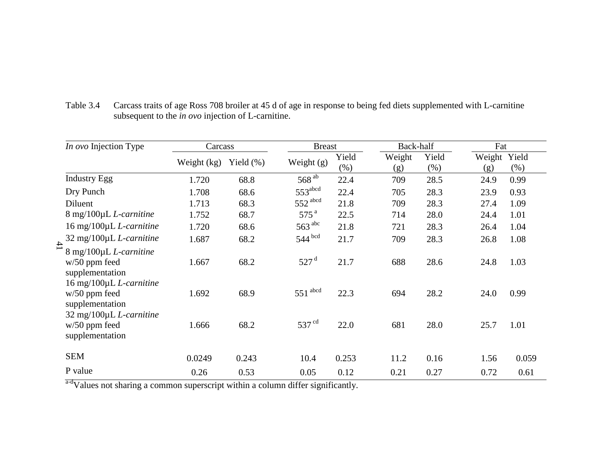<span id="page-51-0"></span>

| In ovo Injection Type                                                                    | Carcass     |               | <b>Breast</b>         |               | Back-half     |                  |               | Fat           |  |
|------------------------------------------------------------------------------------------|-------------|---------------|-----------------------|---------------|---------------|------------------|---------------|---------------|--|
|                                                                                          | Weight (kg) | Yield $(\% )$ | Weight $(g)$          | Yield<br>(% ) | Weight<br>(g) | Yield<br>$(\% )$ | Weight<br>(g) | Yield<br>(% ) |  |
| <b>Industry Egg</b>                                                                      | 1.720       | 68.8          | 568 <sup>ab</sup>     | 22.4          | 709           | 28.5             | 24.9          | 0.99          |  |
| Dry Punch                                                                                | 1.708       | 68.6          | 553 <sup>abcd</sup>   | 22.4          | 705           | 28.3             | 23.9          | 0.93          |  |
| Diluent                                                                                  | 1.713       | 68.3          | 552 abcd              | 21.8          | 709           | 28.3             | 27.4          | 1.09          |  |
| 8 mg/100µL L-carnitine                                                                   | 1.752       | 68.7          | 575 <sup>a</sup>      | 22.5          | 714           | 28.0             | 24.4          | 1.01          |  |
| $16 \text{ mg}/100 \mu L$ <i>L</i> -carnitine                                            | 1.720       | 68.6          | $563$ <sup>abc</sup>  | 21.8          | 721           | 28.3             | 26.4          | 1.04          |  |
| $32 \text{ mg}/100 \mu L$ <i>L</i> -carnitine                                            | 1.687       | 68.2          | $544$ bcd             | 21.7          | 709           | 28.3             | 26.8          | 1.08          |  |
| 41<br>$8 \text{ mg}/100 \mu L$ <i>L</i> -carnitine<br>$w/50$ ppm feed<br>supplementation | 1.667       | 68.2          | 527 <sup>d</sup>      | 21.7          | 688           | 28.6             | 24.8          | 1.03          |  |
| 16 mg/100µL L-carnitine<br>$w/50$ ppm feed<br>supplementation                            | 1.692       | 68.9          | $551$ <sup>abcd</sup> | 22.3          | 694           | 28.2             | 24.0          | 0.99          |  |
| 32 mg/100µL L-carnitine<br>$w/50$ ppm feed<br>supplementation                            | 1.666       | 68.2          | 537 <sup>cd</sup>     | 22.0          | 681           | 28.0             | 25.7          | 1.01          |  |
| <b>SEM</b>                                                                               | 0.0249      | 0.243         | 10.4                  | 0.253         | 11.2          | 0.16             | 1.56          | 0.059         |  |
| P value                                                                                  | 0.26        | 0.53          | 0.05                  | 0.12          | 0.21          | 0.27             | 0.72          | 0.61          |  |

Table 3.4 Carcass traits of age Ross 708 broiler at 45 d of age in response to being fed diets supplemented with L-carnitine subsequent to the *in ovo* injection of L-carnitine.

a-dValues not sharing a common superscript within a column differ significantly.